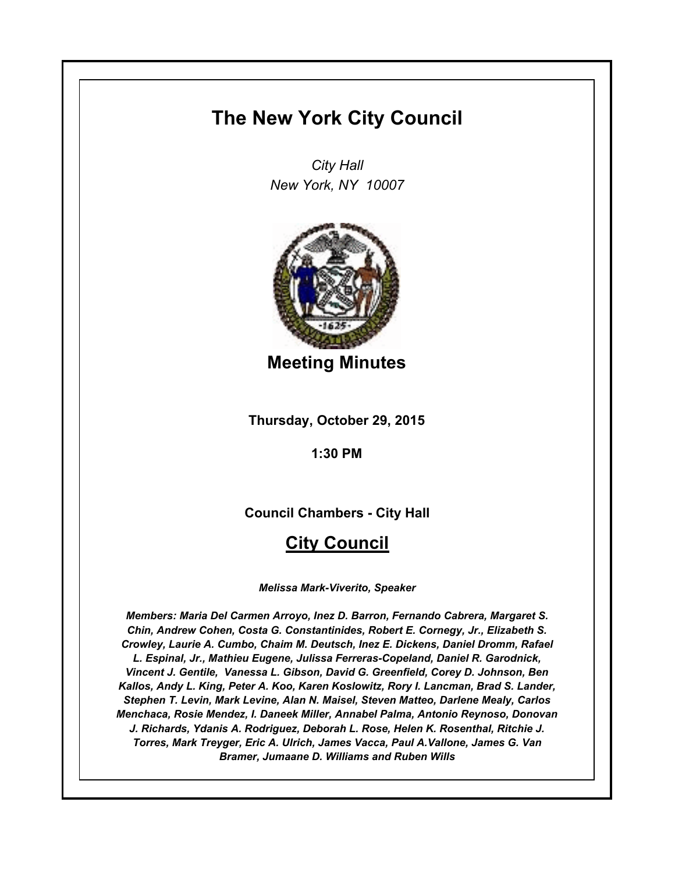# **The New York City Council**

*City Hall New York, NY 10007*



**Meeting Minutes**

**Thursday, October 29, 2015**

**1:30 PM**

**Council Chambers - City Hall**

# **City Council**

*Melissa Mark-Viverito, Speaker*

*Members: Maria Del Carmen Arroyo, Inez D. Barron, Fernando Cabrera, Margaret S. Chin, Andrew Cohen, Costa G. Constantinides, Robert E. Cornegy, Jr., Elizabeth S. Crowley, Laurie A. Cumbo, Chaim M. Deutsch, Inez E. Dickens, Daniel Dromm, Rafael L. Espinal, Jr., Mathieu Eugene, Julissa Ferreras-Copeland, Daniel R. Garodnick, Vincent J. Gentile, Vanessa L. Gibson, David G. Greenfield, Corey D. Johnson, Ben Kallos, Andy L. King, Peter A. Koo, Karen Koslowitz, Rory I. Lancman, Brad S. Lander, Stephen T. Levin, Mark Levine, Alan N. Maisel, Steven Matteo, Darlene Mealy, Carlos Menchaca, Rosie Mendez, I. Daneek Miller, Annabel Palma, Antonio Reynoso, Donovan J. Richards, Ydanis A. Rodriguez, Deborah L. Rose, Helen K. Rosenthal, Ritchie J. Torres, Mark Treyger, Eric A. Ulrich, James Vacca, Paul A.Vallone, James G. Van Bramer, Jumaane D. Williams and Ruben Wills*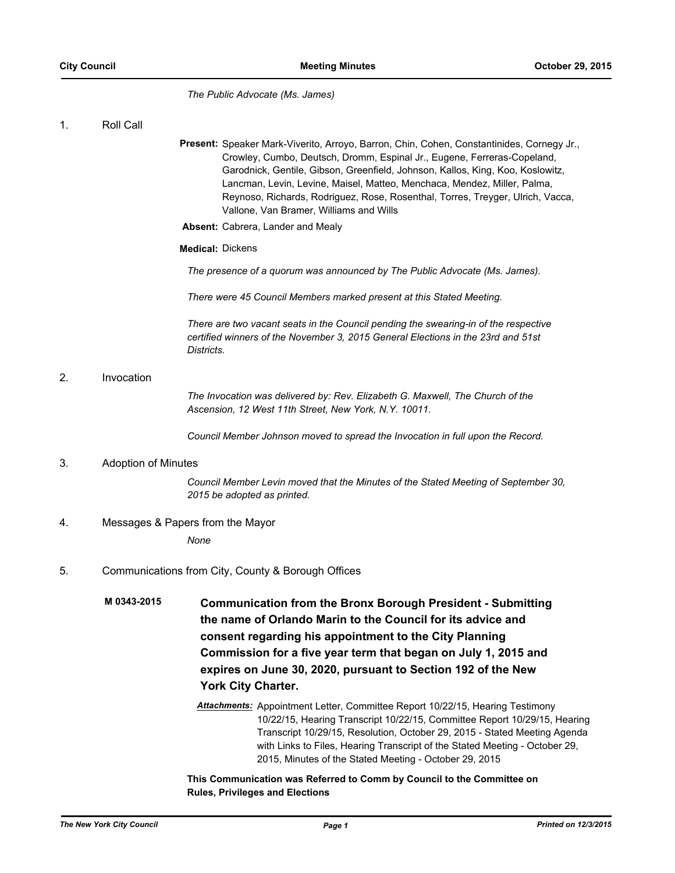*The Public Advocate (Ms. James)*

1. Roll Call

- Present: Speaker Mark-Viverito, Arroyo, Barron, Chin, Cohen, Constantinides, Cornegy Jr., Crowley, Cumbo, Deutsch, Dromm, Espinal Jr., Eugene, Ferreras-Copeland, Garodnick, Gentile, Gibson, Greenfield, Johnson, Kallos, King, Koo, Koslowitz, Lancman, Levin, Levine, Maisel, Matteo, Menchaca, Mendez, Miller, Palma, Reynoso, Richards, Rodriguez, Rose, Rosenthal, Torres, Treyger, Ulrich, Vacca, Vallone, Van Bramer, Williams and Wills
- **Absent:** Cabrera, Lander and Mealy

#### **Medical:** Dickens

*The presence of a quorum was announced by The Public Advocate (Ms. James).*

*There were 45 Council Members marked present at this Stated Meeting.*

*There are two vacant seats in the Council pending the swearing-in of the respective certified winners of the November 3, 2015 General Elections in the 23rd and 51st Districts.*

# 2. Invocation

*The Invocation was delivered by: Rev. Elizabeth G. Maxwell, The Church of the Ascension, 12 West 11th Street, New York, N.Y. 10011.*

*Council Member Johnson moved to spread the Invocation in full upon the Record.*

## 3. Adoption of Minutes

*Council Member Levin moved that the Minutes of the Stated Meeting of September 30, 2015 be adopted as printed.*

## 4. Messages & Papers from the Mayor

*None*

## 5. Communications from City, County & Borough Offices

**Communication from the Bronx Borough President - Submitting the name of Orlando Marin to the Council for its advice and consent regarding his appointment to the City Planning Commission for a five year term that began on July 1, 2015 and expires on June 30, 2020, pursuant to Section 192 of the New York City Charter. M 0343-2015**

> *Attachments:* Appointment Letter, Committee Report 10/22/15, Hearing Testimony 10/22/15, Hearing Transcript 10/22/15, Committee Report 10/29/15, Hearing Transcript 10/29/15, Resolution, October 29, 2015 - Stated Meeting Agenda with Links to Files, Hearing Transcript of the Stated Meeting - October 29, 2015, Minutes of the Stated Meeting - October 29, 2015

**This Communication was Referred to Comm by Council to the Committee on Rules, Privileges and Elections**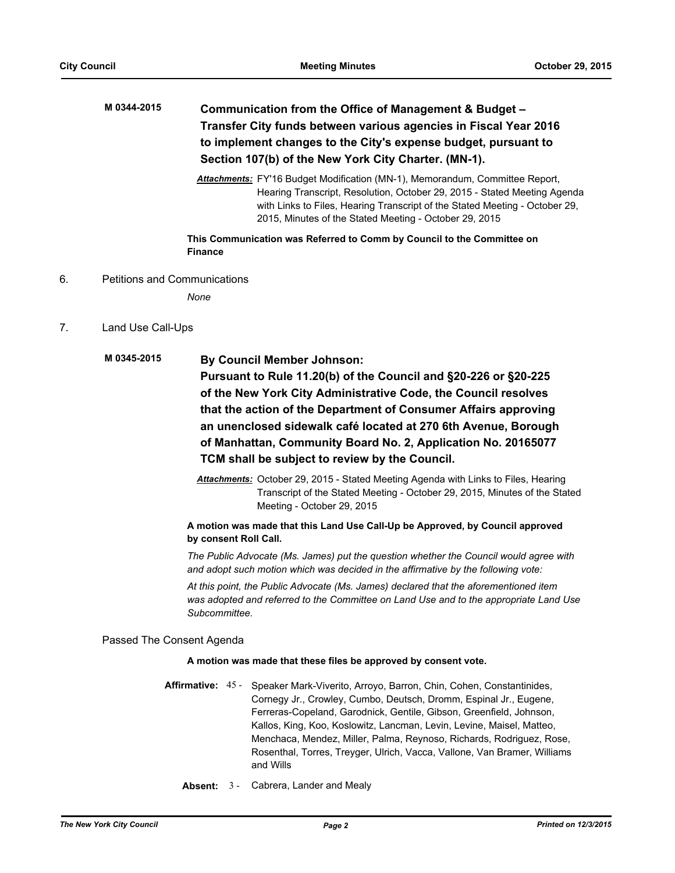| M 0344-2015 | Communication from the Office of Management & Budget -           |
|-------------|------------------------------------------------------------------|
|             | Transfer City funds between various agencies in Fiscal Year 2016 |
|             | to implement changes to the City's expense budget, pursuant to   |
|             | Section 107(b) of the New York City Charter. (MN-1).             |

*Attachments:* FY'16 Budget Modification (MN-1), Memorandum, Committee Report, Hearing Transcript, Resolution, October 29, 2015 - Stated Meeting Agenda with Links to Files, Hearing Transcript of the Stated Meeting - October 29, 2015, Minutes of the Stated Meeting - October 29, 2015

# **This Communication was Referred to Comm by Council to the Committee on Finance**

6. Petitions and Communications

*None*

7. Land Use Call-Ups

# **By Council Member Johnson: Pursuant to Rule 11.20(b) of the Council and §20-226 or §20-225 of the New York City Administrative Code, the Council resolves that the action of the Department of Consumer Affairs approving an unenclosed sidewalk café located at 270 6th Avenue, Borough of Manhattan, Community Board No. 2, Application No. 20165077 TCM shall be subject to review by the Council. M 0345-2015**

*Attachments:* October 29, 2015 - Stated Meeting Agenda with Links to Files, Hearing Transcript of the Stated Meeting - October 29, 2015, Minutes of the Stated Meeting - October 29, 2015

# **A motion was made that this Land Use Call-Up be Approved, by Council approved by consent Roll Call.**

*The Public Advocate (Ms. James) put the question whether the Council would agree with and adopt such motion which was decided in the affirmative by the following vote:*

*At this point, the Public Advocate (Ms. James) declared that the aforementioned item was adopted and referred to the Committee on Land Use and to the appropriate Land Use Subcommittee.*

Passed The Consent Agenda

# **A motion was made that these files be approved by consent vote.**

- Affirmative: 45 Speaker Mark-Viverito, Arroyo, Barron, Chin, Cohen, Constantinides, Cornegy Jr., Crowley, Cumbo, Deutsch, Dromm, Espinal Jr., Eugene, Ferreras-Copeland, Garodnick, Gentile, Gibson, Greenfield, Johnson, Kallos, King, Koo, Koslowitz, Lancman, Levin, Levine, Maisel, Matteo, Menchaca, Mendez, Miller, Palma, Reynoso, Richards, Rodriguez, Rose, Rosenthal, Torres, Treyger, Ulrich, Vacca, Vallone, Van Bramer, Williams and Wills
	- **Absent:** 3 Cabrera, Lander and Mealy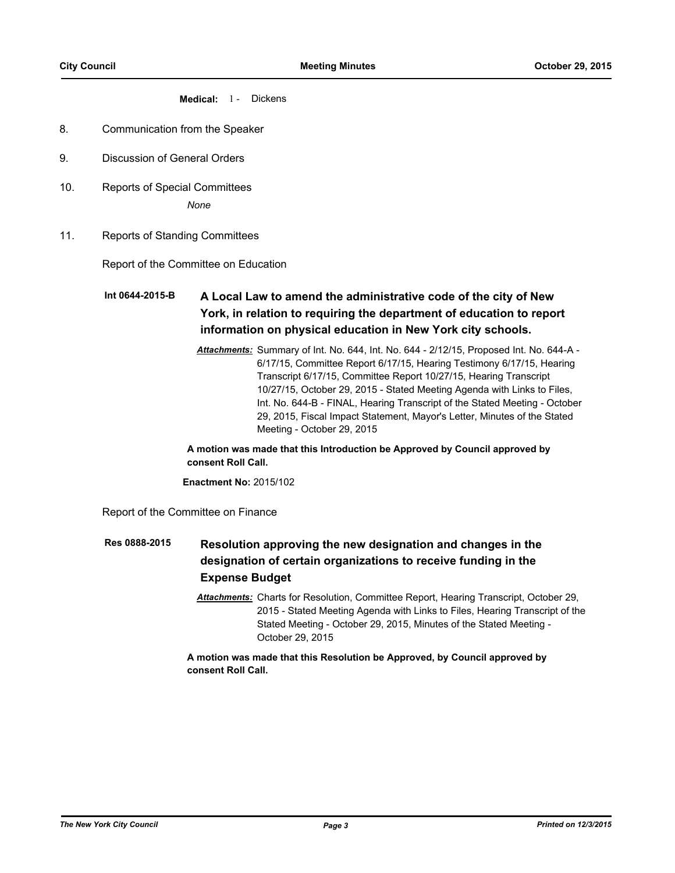## **Medical:** 1 - Dickens

- 8. Communication from the Speaker
- 9. Discussion of General Orders
- 10. Reports of Special Committees

*None*

11. Reports of Standing Committees

Report of the Committee on Education

## **A Local Law to amend the administrative code of the city of New York, in relation to requiring the department of education to report information on physical education in New York city schools. Int 0644-2015-B**

*Attachments:* Summary of Int. No. 644, Int. No. 644 - 2/12/15, Proposed Int. No. 644-A - 6/17/15, Committee Report 6/17/15, Hearing Testimony 6/17/15, Hearing Transcript 6/17/15, Committee Report 10/27/15, Hearing Transcript 10/27/15, October 29, 2015 - Stated Meeting Agenda with Links to Files, Int. No. 644-B - FINAL, Hearing Transcript of the Stated Meeting - October 29, 2015, Fiscal Impact Statement, Mayor's Letter, Minutes of the Stated Meeting - October 29, 2015

**A motion was made that this Introduction be Approved by Council approved by consent Roll Call.**

**Enactment No:** 2015/102

Report of the Committee on Finance

#### **Resolution approving the new designation and changes in the designation of certain organizations to receive funding in the Expense Budget Res 0888-2015**

*Attachments:* Charts for Resolution, Committee Report, Hearing Transcript, October 29, 2015 - Stated Meeting Agenda with Links to Files, Hearing Transcript of the Stated Meeting - October 29, 2015, Minutes of the Stated Meeting - October 29, 2015

**A motion was made that this Resolution be Approved, by Council approved by consent Roll Call.**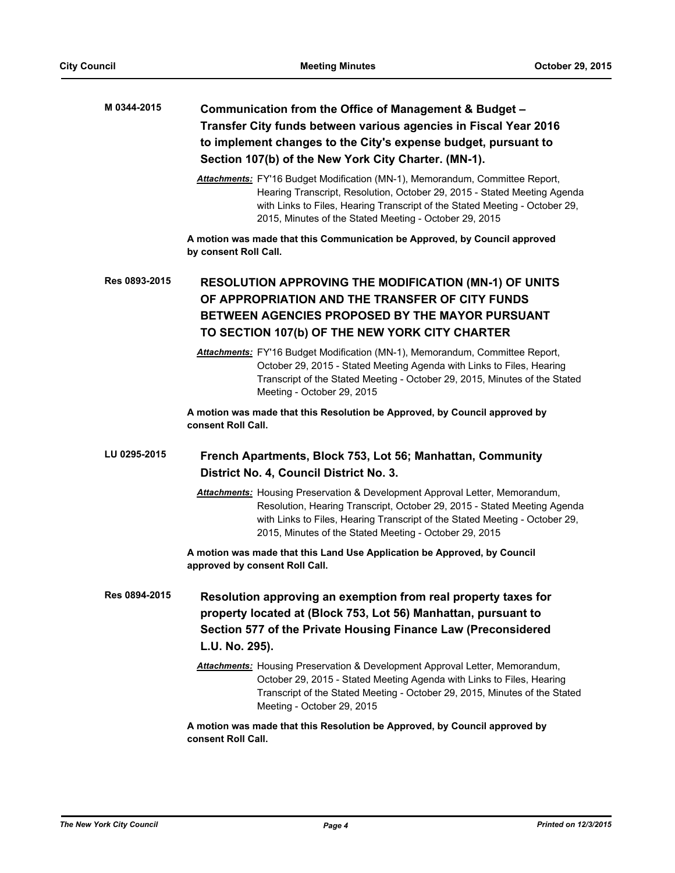# **Communication from the Office of Management & Budget – Transfer City funds between various agencies in Fiscal Year 2016 to implement changes to the City's expense budget, pursuant to Section 107(b) of the New York City Charter. (MN-1). M 0344-2015**

*Attachments:* FY'16 Budget Modification (MN-1), Memorandum, Committee Report, Hearing Transcript, Resolution, October 29, 2015 - Stated Meeting Agenda with Links to Files, Hearing Transcript of the Stated Meeting - October 29, 2015, Minutes of the Stated Meeting - October 29, 2015

**A motion was made that this Communication be Approved, by Council approved by consent Roll Call.**

# **RESOLUTION APPROVING THE MODIFICATION (MN-1) OF UNITS OF APPROPRIATION AND THE TRANSFER OF CITY FUNDS BETWEEN AGENCIES PROPOSED BY THE MAYOR PURSUANT TO SECTION 107(b) OF THE NEW YORK CITY CHARTER Res 0893-2015**

*Attachments:* FY'16 Budget Modification (MN-1), Memorandum, Committee Report, October 29, 2015 - Stated Meeting Agenda with Links to Files, Hearing Transcript of the Stated Meeting - October 29, 2015, Minutes of the Stated Meeting - October 29, 2015

**A motion was made that this Resolution be Approved, by Council approved by consent Roll Call.**

#### **French Apartments, Block 753, Lot 56; Manhattan, Community District No. 4, Council District No. 3. LU 0295-2015**

*Attachments:* Housing Preservation & Development Approval Letter, Memorandum, Resolution, Hearing Transcript, October 29, 2015 - Stated Meeting Agenda with Links to Files, Hearing Transcript of the Stated Meeting - October 29, 2015, Minutes of the Stated Meeting - October 29, 2015

**A motion was made that this Land Use Application be Approved, by Council approved by consent Roll Call.**

**Resolution approving an exemption from real property taxes for property located at (Block 753, Lot 56) Manhattan, pursuant to Section 577 of the Private Housing Finance Law (Preconsidered L.U. No. 295). Res 0894-2015**

> *Attachments:* Housing Preservation & Development Approval Letter, Memorandum, October 29, 2015 - Stated Meeting Agenda with Links to Files, Hearing Transcript of the Stated Meeting - October 29, 2015, Minutes of the Stated Meeting - October 29, 2015

**A motion was made that this Resolution be Approved, by Council approved by consent Roll Call.**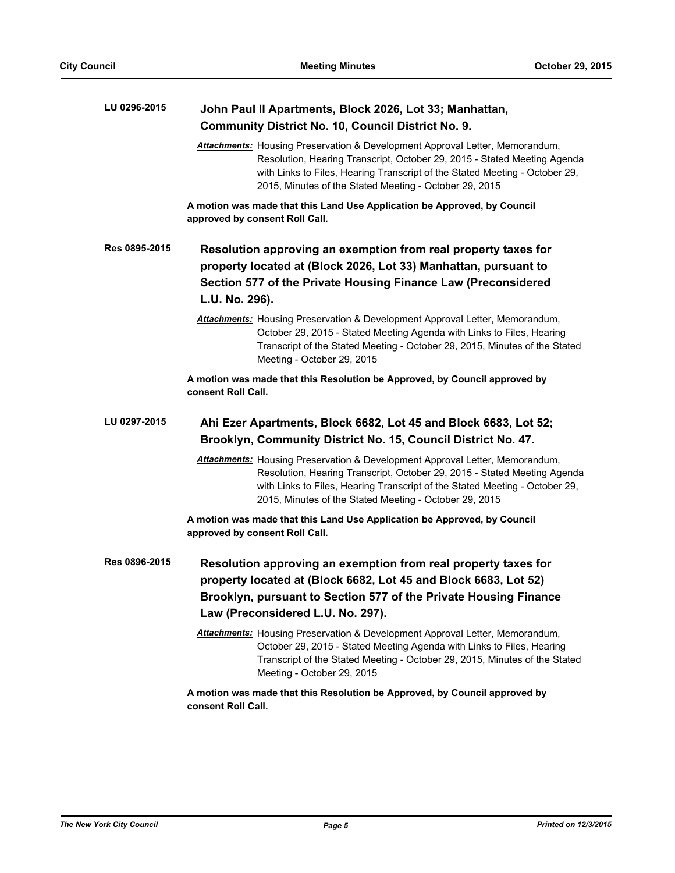| LU 0296-2015  | John Paul II Apartments, Block 2026, Lot 33; Manhattan,<br><b>Community District No. 10, Council District No. 9.</b>                                                                                                                                                                                     |
|---------------|----------------------------------------------------------------------------------------------------------------------------------------------------------------------------------------------------------------------------------------------------------------------------------------------------------|
|               | <b>Attachments:</b> Housing Preservation & Development Approval Letter, Memorandum,<br>Resolution, Hearing Transcript, October 29, 2015 - Stated Meeting Agenda<br>with Links to Files, Hearing Transcript of the Stated Meeting - October 29,<br>2015, Minutes of the Stated Meeting - October 29, 2015 |
|               | A motion was made that this Land Use Application be Approved, by Council<br>approved by consent Roll Call.                                                                                                                                                                                               |
| Res 0895-2015 | Resolution approving an exemption from real property taxes for<br>property located at (Block 2026, Lot 33) Manhattan, pursuant to<br>Section 577 of the Private Housing Finance Law (Preconsidered<br>L.U. No. 296).                                                                                     |
|               | <b>Attachments:</b> Housing Preservation & Development Approval Letter, Memorandum,<br>October 29, 2015 - Stated Meeting Agenda with Links to Files, Hearing<br>Transcript of the Stated Meeting - October 29, 2015, Minutes of the Stated<br>Meeting - October 29, 2015                                 |
|               | A motion was made that this Resolution be Approved, by Council approved by<br>consent Roll Call.                                                                                                                                                                                                         |
| LU 0297-2015  | Ahi Ezer Apartments, Block 6682, Lot 45 and Block 6683, Lot 52;<br>Brooklyn, Community District No. 15, Council District No. 47.                                                                                                                                                                         |
|               | Attachments: Housing Preservation & Development Approval Letter, Memorandum,<br>Resolution, Hearing Transcript, October 29, 2015 - Stated Meeting Agenda<br>with Links to Files, Hearing Transcript of the Stated Meeting - October 29,<br>2015, Minutes of the Stated Meeting - October 29, 2015        |
|               | A motion was made that this Land Use Application be Approved, by Council<br>approved by consent Roll Call.                                                                                                                                                                                               |
| Res 0896-2015 | Resolution approving an exemption from real property taxes for<br>property located at (Block 6682, Lot 45 and Block 6683, Lot 52)<br>Brooklyn, pursuant to Section 577 of the Private Housing Finance<br>Law (Preconsidered L.U. No. 297).                                                               |
|               | Attachments: Housing Preservation & Development Approval Letter, Memorandum,<br>October 29, 2015 - Stated Meeting Agenda with Links to Files, Hearing<br>Transcript of the Stated Meeting - October 29, 2015, Minutes of the Stated<br>Meeting - October 29, 2015                                        |
|               | A motion was made that this Resolution be Approved, by Council approved by                                                                                                                                                                                                                               |

**consent Roll Call.**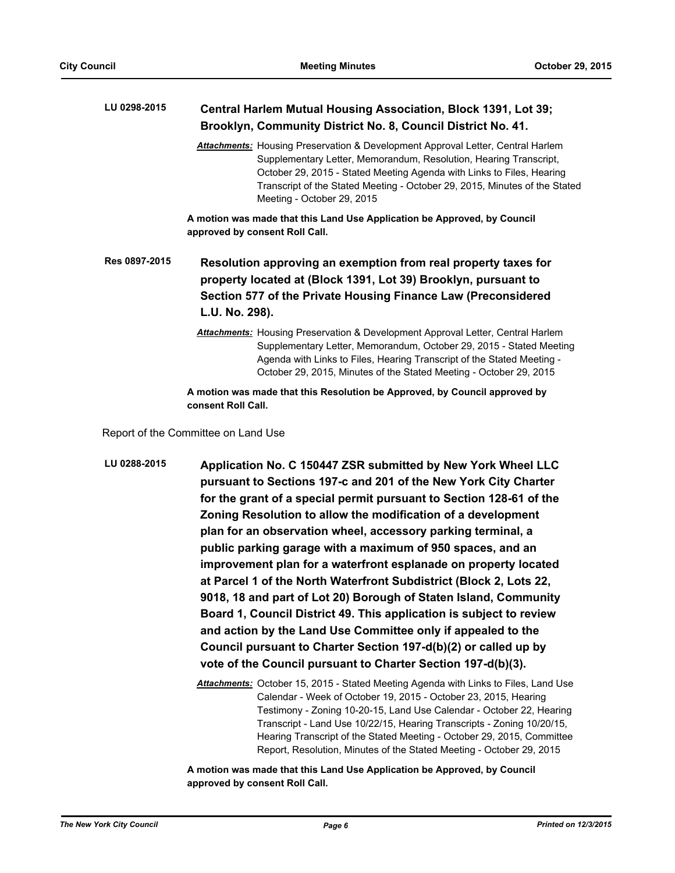| LU 0298-2015 | Central Harlem Mutual Housing Association, Block 1391, Lot 39; |
|--------------|----------------------------------------------------------------|
|              | Brooklyn, Community District No. 8, Council District No. 41.   |

*Attachments:* Housing Preservation & Development Approval Letter, Central Harlem Supplementary Letter, Memorandum, Resolution, Hearing Transcript, October 29, 2015 - Stated Meeting Agenda with Links to Files, Hearing Transcript of the Stated Meeting - October 29, 2015, Minutes of the Stated Meeting - October 29, 2015

**A motion was made that this Land Use Application be Approved, by Council approved by consent Roll Call.**

**Resolution approving an exemption from real property taxes for property located at (Block 1391, Lot 39) Brooklyn, pursuant to Section 577 of the Private Housing Finance Law (Preconsidered L.U. No. 298). Res 0897-2015**

> *Attachments:* Housing Preservation & Development Approval Letter, Central Harlem Supplementary Letter, Memorandum, October 29, 2015 - Stated Meeting Agenda with Links to Files, Hearing Transcript of the Stated Meeting - October 29, 2015, Minutes of the Stated Meeting - October 29, 2015

**A motion was made that this Resolution be Approved, by Council approved by consent Roll Call.**

Report of the Committee on Land Use

**Application No. C 150447 ZSR submitted by New York Wheel LLC pursuant to Sections 197-c and 201 of the New York City Charter for the grant of a special permit pursuant to Section 128-61 of the Zoning Resolution to allow the modification of a development plan for an observation wheel, accessory parking terminal, a public parking garage with a maximum of 950 spaces, and an improvement plan for a waterfront esplanade on property located at Parcel 1 of the North Waterfront Subdistrict (Block 2, Lots 22, 9018, 18 and part of Lot 20) Borough of Staten Island, Community Board 1, Council District 49. This application is subject to review and action by the Land Use Committee only if appealed to the Council pursuant to Charter Section 197-d(b)(2) or called up by vote of the Council pursuant to Charter Section 197-d(b)(3). LU 0288-2015**

> *Attachments:* October 15, 2015 - Stated Meeting Agenda with Links to Files, Land Use Calendar - Week of October 19, 2015 - October 23, 2015, Hearing Testimony - Zoning 10-20-15, Land Use Calendar - October 22, Hearing Transcript - Land Use 10/22/15, Hearing Transcripts - Zoning 10/20/15, Hearing Transcript of the Stated Meeting - October 29, 2015, Committee Report, Resolution, Minutes of the Stated Meeting - October 29, 2015

**A motion was made that this Land Use Application be Approved, by Council approved by consent Roll Call.**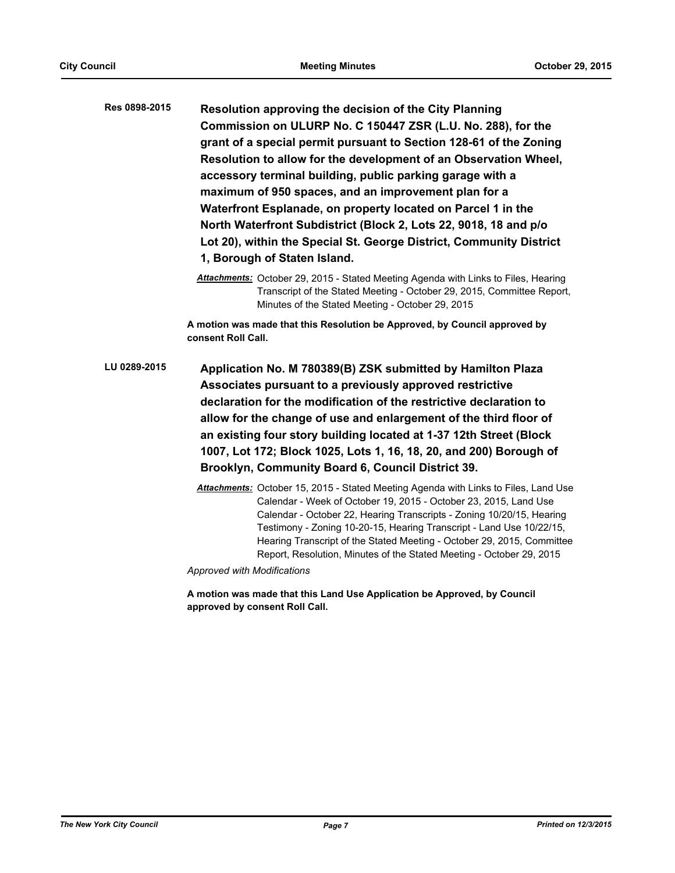**Resolution approving the decision of the City Planning Commission on ULURP No. C 150447 ZSR (L.U. No. 288), for the grant of a special permit pursuant to Section 128-61 of the Zoning Resolution to allow for the development of an Observation Wheel, accessory terminal building, public parking garage with a maximum of 950 spaces, and an improvement plan for a Waterfront Esplanade, on property located on Parcel 1 in the North Waterfront Subdistrict (Block 2, Lots 22, 9018, 18 and p/o Lot 20), within the Special St. George District, Community District 1, Borough of Staten Island. Res 0898-2015**

> *Attachments:* October 29, 2015 - Stated Meeting Agenda with Links to Files, Hearing Transcript of the Stated Meeting - October 29, 2015, Committee Report, Minutes of the Stated Meeting - October 29, 2015

**A motion was made that this Resolution be Approved, by Council approved by consent Roll Call.**

- **Application No. M 780389(B) ZSK submitted by Hamilton Plaza Associates pursuant to a previously approved restrictive declaration for the modification of the restrictive declaration to allow for the change of use and enlargement of the third floor of an existing four story building located at 1-37 12th Street (Block 1007, Lot 172; Block 1025, Lots 1, 16, 18, 20, and 200) Borough of Brooklyn, Community Board 6, Council District 39. LU 0289-2015**
	- *Attachments:* October 15, 2015 Stated Meeting Agenda with Links to Files, Land Use Calendar - Week of October 19, 2015 - October 23, 2015, Land Use Calendar - October 22, Hearing Transcripts - Zoning 10/20/15, Hearing Testimony - Zoning 10-20-15, Hearing Transcript - Land Use 10/22/15, Hearing Transcript of the Stated Meeting - October 29, 2015, Committee Report, Resolution, Minutes of the Stated Meeting - October 29, 2015

*Approved with Modifications*

**A motion was made that this Land Use Application be Approved, by Council approved by consent Roll Call.**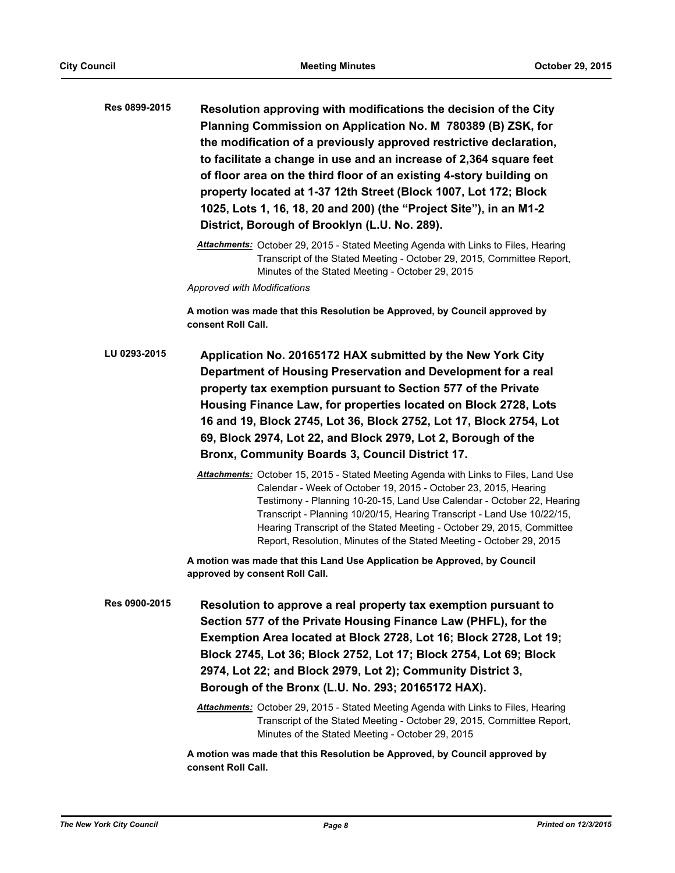| Res 0899-2015 | Resolution approving with modifications the decision of the City    |
|---------------|---------------------------------------------------------------------|
|               | Planning Commission on Application No. M 780389 (B) ZSK, for        |
|               | the modification of a previously approved restrictive declaration,  |
|               | to facilitate a change in use and an increase of 2,364 square feet  |
|               | of floor area on the third floor of an existing 4-story building on |
|               | property located at 1-37 12th Street (Block 1007, Lot 172; Block    |
|               | 1025, Lots 1, 16, 18, 20 and 200) (the "Project Site"), in an M1-2  |
|               | District, Borough of Brooklyn (L.U. No. 289).                       |
|               |                                                                     |

*Attachments:* October 29, 2015 - Stated Meeting Agenda with Links to Files, Hearing Transcript of the Stated Meeting - October 29, 2015, Committee Report, Minutes of the Stated Meeting - October 29, 2015

*Approved with Modifications*

**A motion was made that this Resolution be Approved, by Council approved by consent Roll Call.**

- **Application No. 20165172 HAX submitted by the New York City Department of Housing Preservation and Development for a real property tax exemption pursuant to Section 577 of the Private Housing Finance Law, for properties located on Block 2728, Lots 16 and 19, Block 2745, Lot 36, Block 2752, Lot 17, Block 2754, Lot 69, Block 2974, Lot 22, and Block 2979, Lot 2, Borough of the Bronx, Community Boards 3, Council District 17. LU 0293-2015**
	- *Attachments:* October 15, 2015 Stated Meeting Agenda with Links to Files, Land Use Calendar - Week of October 19, 2015 - October 23, 2015, Hearing Testimony - Planning 10-20-15, Land Use Calendar - October 22, Hearing Transcript - Planning 10/20/15, Hearing Transcript - Land Use 10/22/15, Hearing Transcript of the Stated Meeting - October 29, 2015, Committee Report, Resolution, Minutes of the Stated Meeting - October 29, 2015

**A motion was made that this Land Use Application be Approved, by Council approved by consent Roll Call.**

**Resolution to approve a real property tax exemption pursuant to Section 577 of the Private Housing Finance Law (PHFL), for the Exemption Area located at Block 2728, Lot 16; Block 2728, Lot 19; Block 2745, Lot 36; Block 2752, Lot 17; Block 2754, Lot 69; Block 2974, Lot 22; and Block 2979, Lot 2); Community District 3, Borough of the Bronx (L.U. No. 293; 20165172 HAX). Res 0900-2015**

> *Attachments:* October 29, 2015 - Stated Meeting Agenda with Links to Files, Hearing Transcript of the Stated Meeting - October 29, 2015, Committee Report, Minutes of the Stated Meeting - October 29, 2015

**A motion was made that this Resolution be Approved, by Council approved by consent Roll Call.**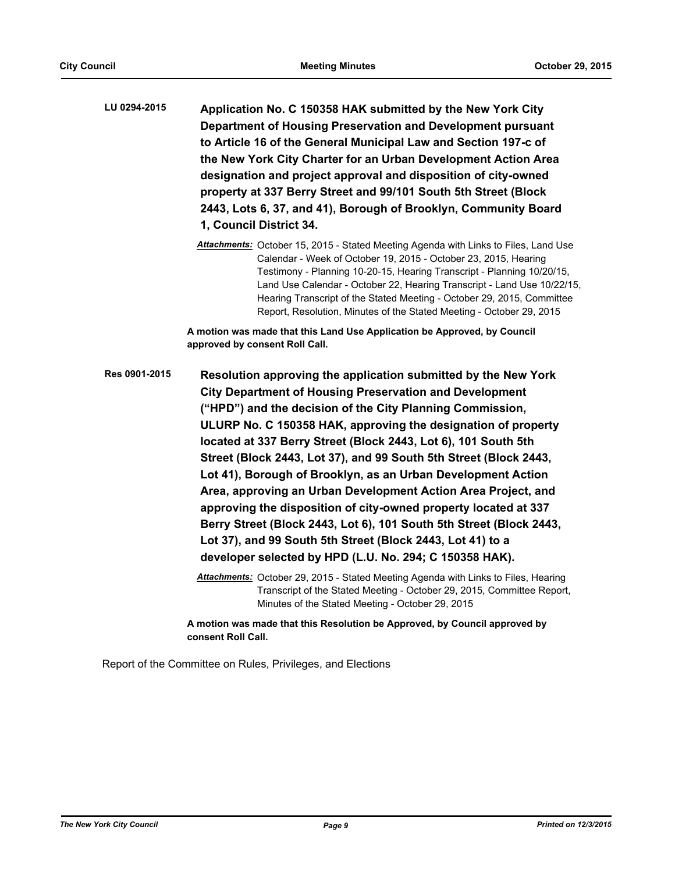**Application No. C 150358 HAK submitted by the New York City Department of Housing Preservation and Development pursuant to Article 16 of the General Municipal Law and Section 197-c of the New York City Charter for an Urban Development Action Area designation and project approval and disposition of city-owned property at 337 Berry Street and 99/101 South 5th Street (Block 2443, Lots 6, 37, and 41), Borough of Brooklyn, Community Board 1, Council District 34. LU 0294-2015**

> *Attachments:* October 15, 2015 - Stated Meeting Agenda with Links to Files, Land Use Calendar - Week of October 19, 2015 - October 23, 2015, Hearing Testimony - Planning 10-20-15, Hearing Transcript - Planning 10/20/15, Land Use Calendar - October 22, Hearing Transcript - Land Use 10/22/15, Hearing Transcript of the Stated Meeting - October 29, 2015, Committee Report, Resolution, Minutes of the Stated Meeting - October 29, 2015

**A motion was made that this Land Use Application be Approved, by Council approved by consent Roll Call.**

**Resolution approving the application submitted by the New York City Department of Housing Preservation and Development ("HPD") and the decision of the City Planning Commission, ULURP No. C 150358 HAK, approving the designation of property located at 337 Berry Street (Block 2443, Lot 6), 101 South 5th Street (Block 2443, Lot 37), and 99 South 5th Street (Block 2443, Lot 41), Borough of Brooklyn, as an Urban Development Action Area, approving an Urban Development Action Area Project, and approving the disposition of city-owned property located at 337 Berry Street (Block 2443, Lot 6), 101 South 5th Street (Block 2443, Lot 37), and 99 South 5th Street (Block 2443, Lot 41) to a developer selected by HPD (L.U. No. 294; C 150358 HAK). Res 0901-2015**

> *Attachments:* October 29, 2015 - Stated Meeting Agenda with Links to Files, Hearing Transcript of the Stated Meeting - October 29, 2015, Committee Report, Minutes of the Stated Meeting - October 29, 2015

**A motion was made that this Resolution be Approved, by Council approved by consent Roll Call.**

Report of the Committee on Rules, Privileges, and Elections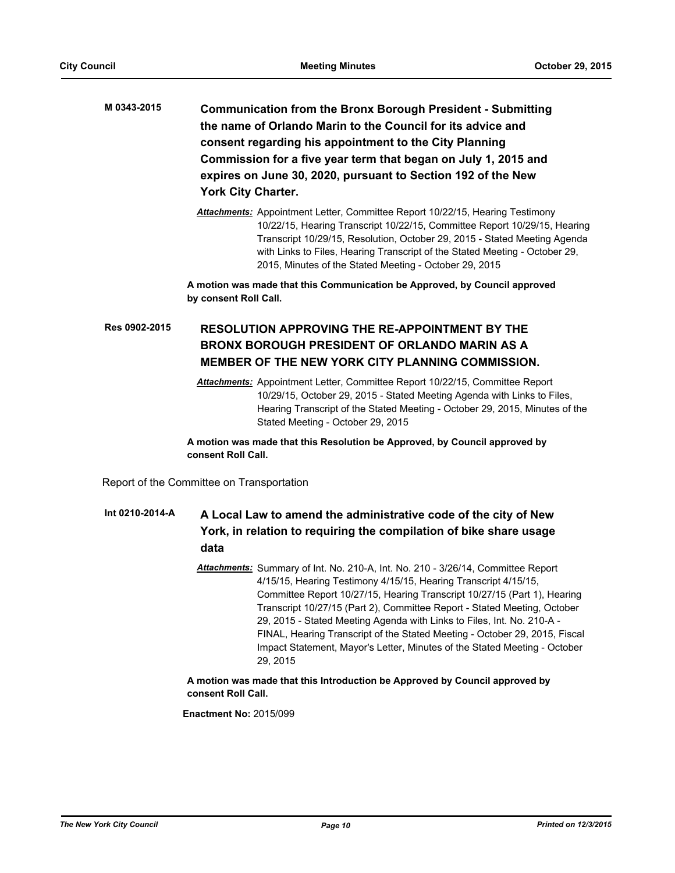- **Communication from the Bronx Borough President Submitting the name of Orlando Marin to the Council for its advice and consent regarding his appointment to the City Planning Commission for a five year term that began on July 1, 2015 and expires on June 30, 2020, pursuant to Section 192 of the New York City Charter. M 0343-2015**
	- *Attachments:* Appointment Letter, Committee Report 10/22/15, Hearing Testimony 10/22/15, Hearing Transcript 10/22/15, Committee Report 10/29/15, Hearing Transcript 10/29/15, Resolution, October 29, 2015 - Stated Meeting Agenda with Links to Files, Hearing Transcript of the Stated Meeting - October 29, 2015, Minutes of the Stated Meeting - October 29, 2015

**A motion was made that this Communication be Approved, by Council approved by consent Roll Call.**

# **RESOLUTION APPROVING THE RE-APPOINTMENT BY THE BRONX BOROUGH PRESIDENT OF ORLANDO MARIN AS A MEMBER OF THE NEW YORK CITY PLANNING COMMISSION. Res 0902-2015**

*Attachments:* Appointment Letter, Committee Report 10/22/15, Committee Report 10/29/15, October 29, 2015 - Stated Meeting Agenda with Links to Files, Hearing Transcript of the Stated Meeting - October 29, 2015, Minutes of the Stated Meeting - October 29, 2015

**A motion was made that this Resolution be Approved, by Council approved by consent Roll Call.**

Report of the Committee on Transportation

### **A Local Law to amend the administrative code of the city of New York, in relation to requiring the compilation of bike share usage data Int 0210-2014-A**

*Attachments:* Summary of Int. No. 210-A, Int. No. 210 - 3/26/14, Committee Report 4/15/15, Hearing Testimony 4/15/15, Hearing Transcript 4/15/15, Committee Report 10/27/15, Hearing Transcript 10/27/15 (Part 1), Hearing Transcript 10/27/15 (Part 2), Committee Report - Stated Meeting, October 29, 2015 - Stated Meeting Agenda with Links to Files, Int. No. 210-A - FINAL, Hearing Transcript of the Stated Meeting - October 29, 2015, Fiscal Impact Statement, Mayor's Letter, Minutes of the Stated Meeting - October 29, 2015

# **A motion was made that this Introduction be Approved by Council approved by consent Roll Call.**

**Enactment No:** 2015/099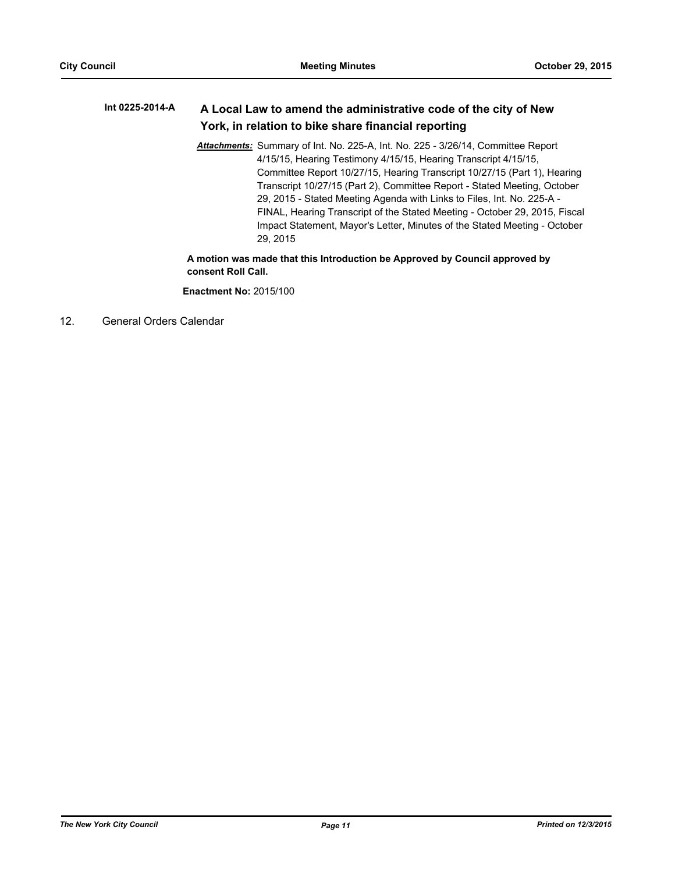#### **A Local Law to amend the administrative code of the city of New York, in relation to bike share financial reporting Int 0225-2014-A**

*Attachments:* Summary of Int. No. 225-A, Int. No. 225 - 3/26/14, Committee Report 4/15/15, Hearing Testimony 4/15/15, Hearing Transcript 4/15/15, Committee Report 10/27/15, Hearing Transcript 10/27/15 (Part 1), Hearing Transcript 10/27/15 (Part 2), Committee Report - Stated Meeting, October 29, 2015 - Stated Meeting Agenda with Links to Files, Int. No. 225-A - FINAL, Hearing Transcript of the Stated Meeting - October 29, 2015, Fiscal Impact Statement, Mayor's Letter, Minutes of the Stated Meeting - October 29, 2015

**A motion was made that this Introduction be Approved by Council approved by consent Roll Call.**

**Enactment No:** 2015/100

12. General Orders Calendar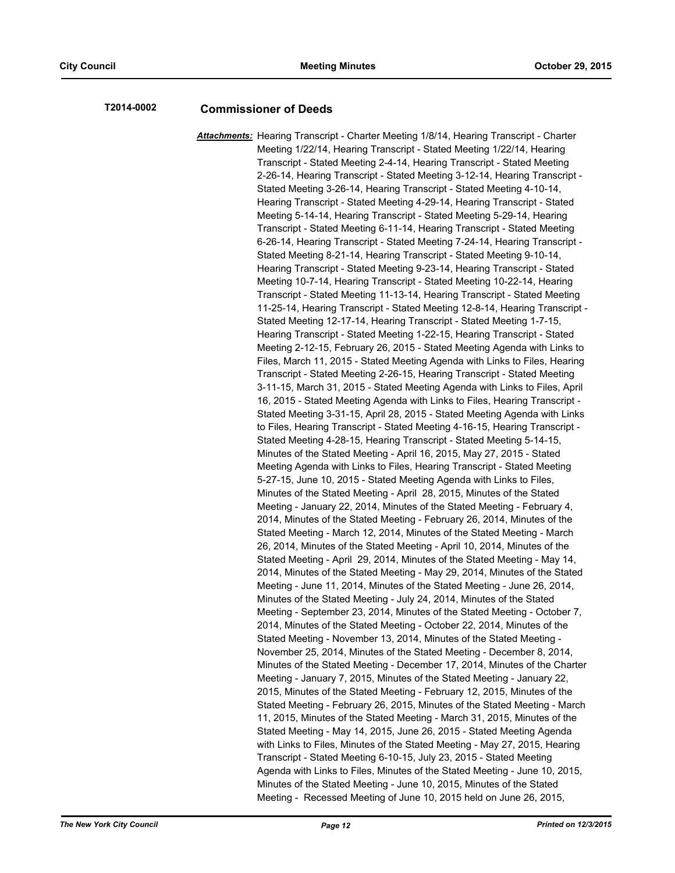# **T2014-0002 Commissioner of Deeds**

*Attachments:* Hearing Transcript - Charter Meeting 1/8/14, Hearing Transcript - Charter Meeting 1/22/14, Hearing Transcript - Stated Meeting 1/22/14, Hearing Transcript - Stated Meeting 2-4-14, Hearing Transcript - Stated Meeting 2-26-14, Hearing Transcript - Stated Meeting 3-12-14, Hearing Transcript - Stated Meeting 3-26-14, Hearing Transcript - Stated Meeting 4-10-14, Hearing Transcript - Stated Meeting 4-29-14, Hearing Transcript - Stated Meeting 5-14-14, Hearing Transcript - Stated Meeting 5-29-14, Hearing Transcript - Stated Meeting 6-11-14, Hearing Transcript - Stated Meeting 6-26-14, Hearing Transcript - Stated Meeting 7-24-14, Hearing Transcript - Stated Meeting 8-21-14, Hearing Transcript - Stated Meeting 9-10-14, Hearing Transcript - Stated Meeting 9-23-14, Hearing Transcript - Stated Meeting 10-7-14, Hearing Transcript - Stated Meeting 10-22-14, Hearing Transcript - Stated Meeting 11-13-14, Hearing Transcript - Stated Meeting 11-25-14, Hearing Transcript - Stated Meeting 12-8-14, Hearing Transcript - Stated Meeting 12-17-14, Hearing Transcript - Stated Meeting 1-7-15, Hearing Transcript - Stated Meeting 1-22-15, Hearing Transcript - Stated Meeting 2-12-15, February 26, 2015 - Stated Meeting Agenda with Links to Files, March 11, 2015 - Stated Meeting Agenda with Links to Files, Hearing Transcript - Stated Meeting 2-26-15, Hearing Transcript - Stated Meeting 3-11-15, March 31, 2015 - Stated Meeting Agenda with Links to Files, April 16, 2015 - Stated Meeting Agenda with Links to Files, Hearing Transcript - Stated Meeting 3-31-15, April 28, 2015 - Stated Meeting Agenda with Links to Files, Hearing Transcript - Stated Meeting 4-16-15, Hearing Transcript - Stated Meeting 4-28-15, Hearing Transcript - Stated Meeting 5-14-15, Minutes of the Stated Meeting - April 16, 2015, May 27, 2015 - Stated Meeting Agenda with Links to Files, Hearing Transcript - Stated Meeting 5-27-15, June 10, 2015 - Stated Meeting Agenda with Links to Files, Minutes of the Stated Meeting - April 28, 2015, Minutes of the Stated Meeting - January 22, 2014, Minutes of the Stated Meeting - February 4, 2014, Minutes of the Stated Meeting - February 26, 2014, Minutes of the Stated Meeting - March 12, 2014, Minutes of the Stated Meeting - March 26, 2014, Minutes of the Stated Meeting - April 10, 2014, Minutes of the Stated Meeting - April 29, 2014, Minutes of the Stated Meeting - May 14, 2014, Minutes of the Stated Meeting - May 29, 2014, Minutes of the Stated Meeting - June 11, 2014, Minutes of the Stated Meeting - June 26, 2014, Minutes of the Stated Meeting - July 24, 2014, Minutes of the Stated Meeting - September 23, 2014, Minutes of the Stated Meeting - October 7, 2014, Minutes of the Stated Meeting - October 22, 2014, Minutes of the Stated Meeting - November 13, 2014, Minutes of the Stated Meeting - November 25, 2014, Minutes of the Stated Meeting - December 8, 2014, Minutes of the Stated Meeting - December 17, 2014, Minutes of the Charter Meeting - January 7, 2015, Minutes of the Stated Meeting - January 22, 2015, Minutes of the Stated Meeting - February 12, 2015, Minutes of the Stated Meeting - February 26, 2015, Minutes of the Stated Meeting - March 11, 2015, Minutes of the Stated Meeting - March 31, 2015, Minutes of the Stated Meeting - May 14, 2015, June 26, 2015 - Stated Meeting Agenda with Links to Files, Minutes of the Stated Meeting - May 27, 2015, Hearing Transcript - Stated Meeting 6-10-15, July 23, 2015 - Stated Meeting Agenda with Links to Files, Minutes of the Stated Meeting - June 10, 2015, Minutes of the Stated Meeting - June 10, 2015, Minutes of the Stated Meeting - Recessed Meeting of June 10, 2015 held on June 26, 2015,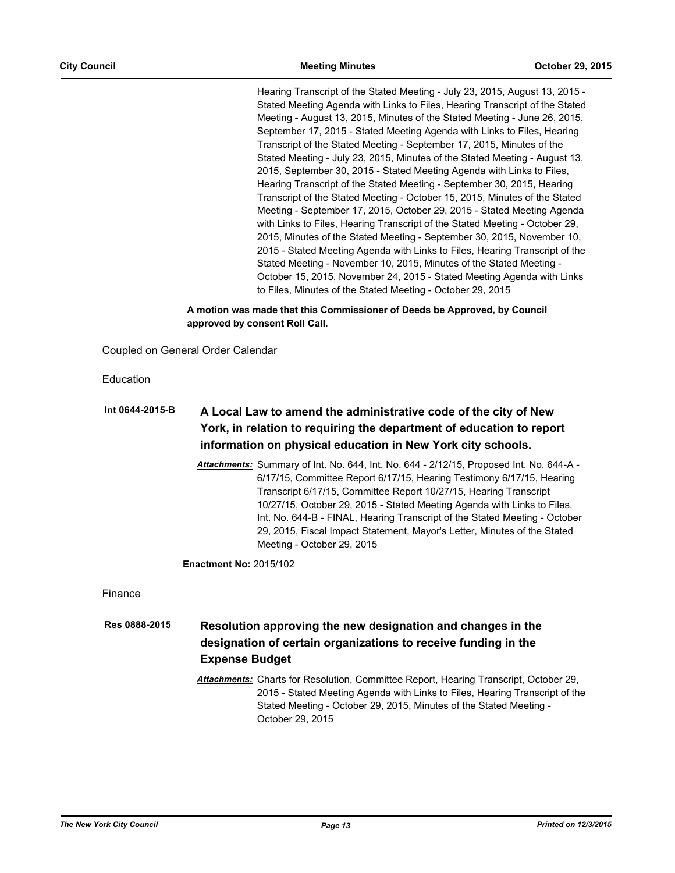Hearing Transcript of the Stated Meeting - July 23, 2015, August 13, 2015 - Stated Meeting Agenda with Links to Files, Hearing Transcript of the Stated Meeting - August 13, 2015, Minutes of the Stated Meeting - June 26, 2015, September 17, 2015 - Stated Meeting Agenda with Links to Files, Hearing Transcript of the Stated Meeting - September 17, 2015, Minutes of the Stated Meeting - July 23, 2015, Minutes of the Stated Meeting - August 13, 2015, September 30, 2015 - Stated Meeting Agenda with Links to Files, Hearing Transcript of the Stated Meeting - September 30, 2015, Hearing Transcript of the Stated Meeting - October 15, 2015, Minutes of the Stated Meeting - September 17, 2015, October 29, 2015 - Stated Meeting Agenda with Links to Files, Hearing Transcript of the Stated Meeting - October 29, 2015, Minutes of the Stated Meeting - September 30, 2015, November 10, 2015 - Stated Meeting Agenda with Links to Files, Hearing Transcript of the Stated Meeting - November 10, 2015, Minutes of the Stated Meeting - October 15, 2015, November 24, 2015 - Stated Meeting Agenda with Links to Files, Minutes of the Stated Meeting - October 29, 2015

**A motion was made that this Commissioner of Deeds be Approved, by Council approved by consent Roll Call.**

Coupled on General Order Calendar

Education

| Int 0644-2015-B | A Local Law to amend the administrative code of the city of New      |
|-----------------|----------------------------------------------------------------------|
|                 | York, in relation to requiring the department of education to report |
|                 | information on physical education in New York city schools.          |

*Attachments:* Summary of Int. No. 644, Int. No. 644 - 2/12/15, Proposed Int. No. 644-A - 6/17/15, Committee Report 6/17/15, Hearing Testimony 6/17/15, Hearing Transcript 6/17/15, Committee Report 10/27/15, Hearing Transcript 10/27/15, October 29, 2015 - Stated Meeting Agenda with Links to Files, Int. No. 644-B - FINAL, Hearing Transcript of the Stated Meeting - October 29, 2015, Fiscal Impact Statement, Mayor's Letter, Minutes of the Stated Meeting - October 29, 2015

**Enactment No:** 2015/102

Finance

**Resolution approving the new designation and changes in the designation of certain organizations to receive funding in the Expense Budget Res 0888-2015**

> *Attachments:* Charts for Resolution, Committee Report, Hearing Transcript, October 29, 2015 - Stated Meeting Agenda with Links to Files, Hearing Transcript of the Stated Meeting - October 29, 2015, Minutes of the Stated Meeting - October 29, 2015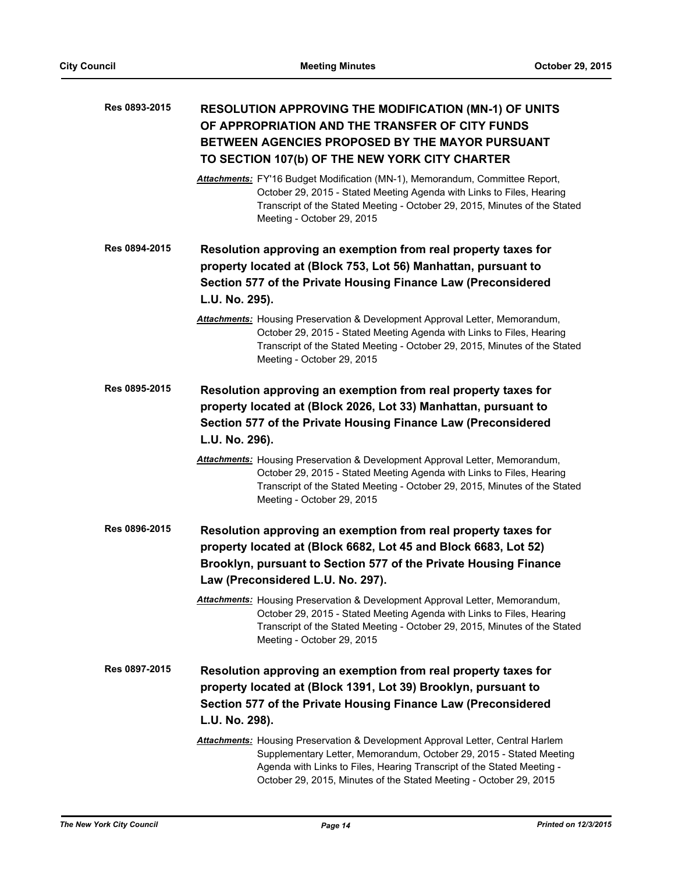| Res 0893-2015 | <b>RESOLUTION APPROVING THE MODIFICATION (MN-1) OF UNITS</b><br>OF APPROPRIATION AND THE TRANSFER OF CITY FUNDS<br>BETWEEN AGENCIES PROPOSED BY THE MAYOR PURSUANT<br>TO SECTION 107(b) OF THE NEW YORK CITY CHARTER                                                                                          |
|---------------|---------------------------------------------------------------------------------------------------------------------------------------------------------------------------------------------------------------------------------------------------------------------------------------------------------------|
|               | Attachments: FY'16 Budget Modification (MN-1), Memorandum, Committee Report,<br>October 29, 2015 - Stated Meeting Agenda with Links to Files, Hearing<br>Transcript of the Stated Meeting - October 29, 2015, Minutes of the Stated<br>Meeting - October 29, 2015                                             |
| Res 0894-2015 | Resolution approving an exemption from real property taxes for<br>property located at (Block 753, Lot 56) Manhattan, pursuant to<br>Section 577 of the Private Housing Finance Law (Preconsidered<br>L.U. No. 295).                                                                                           |
|               | <b>Attachments:</b> Housing Preservation & Development Approval Letter, Memorandum,<br>October 29, 2015 - Stated Meeting Agenda with Links to Files, Hearing<br>Transcript of the Stated Meeting - October 29, 2015, Minutes of the Stated<br>Meeting - October 29, 2015                                      |
| Res 0895-2015 | Resolution approving an exemption from real property taxes for<br>property located at (Block 2026, Lot 33) Manhattan, pursuant to<br>Section 577 of the Private Housing Finance Law (Preconsidered<br>L.U. No. 296).                                                                                          |
|               | Attachments: Housing Preservation & Development Approval Letter, Memorandum,<br>October 29, 2015 - Stated Meeting Agenda with Links to Files, Hearing<br>Transcript of the Stated Meeting - October 29, 2015, Minutes of the Stated<br>Meeting - October 29, 2015                                             |
| Res 0896-2015 | Resolution approving an exemption from real property taxes for<br>property located at (Block 6682, Lot 45 and Block 6683, Lot 52)<br>Brooklyn, pursuant to Section 577 of the Private Housing Finance<br>Law (Preconsidered L.U. No. 297).                                                                    |
|               | Attachments: Housing Preservation & Development Approval Letter, Memorandum,<br>October 29, 2015 - Stated Meeting Agenda with Links to Files, Hearing<br>Transcript of the Stated Meeting - October 29, 2015, Minutes of the Stated<br>Meeting - October 29, 2015                                             |
| Res 0897-2015 | Resolution approving an exemption from real property taxes for<br>property located at (Block 1391, Lot 39) Brooklyn, pursuant to<br>Section 577 of the Private Housing Finance Law (Preconsidered<br>L.U. No. 298).                                                                                           |
|               | <b>Attachments:</b> Housing Preservation & Development Approval Letter, Central Harlem<br>Supplementary Letter, Memorandum, October 29, 2015 - Stated Meeting<br>Agenda with Links to Files, Hearing Transcript of the Stated Meeting -<br>October 29, 2015, Minutes of the Stated Meeting - October 29, 2015 |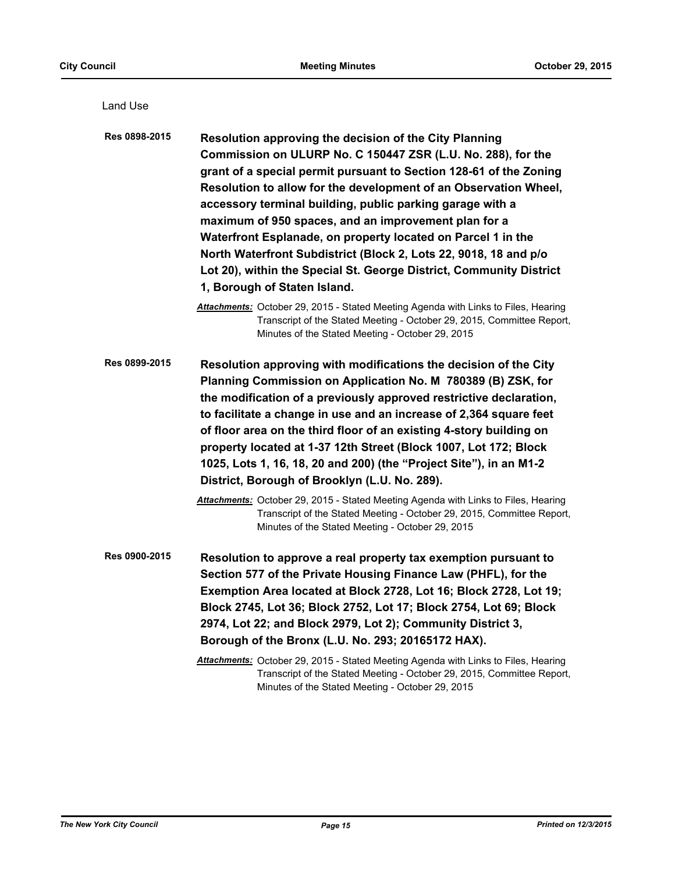| Land Use      |                                                                                                                                                                                                                                                                                                                                                                                                                                                                                                                                                                                                                                  |
|---------------|----------------------------------------------------------------------------------------------------------------------------------------------------------------------------------------------------------------------------------------------------------------------------------------------------------------------------------------------------------------------------------------------------------------------------------------------------------------------------------------------------------------------------------------------------------------------------------------------------------------------------------|
| Res 0898-2015 | Resolution approving the decision of the City Planning<br>Commission on ULURP No. C 150447 ZSR (L.U. No. 288), for the<br>grant of a special permit pursuant to Section 128-61 of the Zoning<br>Resolution to allow for the development of an Observation Wheel,<br>accessory terminal building, public parking garage with a<br>maximum of 950 spaces, and an improvement plan for a<br>Waterfront Esplanade, on property located on Parcel 1 in the<br>North Waterfront Subdistrict (Block 2, Lots 22, 9018, 18 and p/o<br>Lot 20), within the Special St. George District, Community District<br>1, Borough of Staten Island. |
|               | Attachments: October 29, 2015 - Stated Meeting Agenda with Links to Files, Hearing<br>Transcript of the Stated Meeting - October 29, 2015, Committee Report,<br>Minutes of the Stated Meeting - October 29, 2015                                                                                                                                                                                                                                                                                                                                                                                                                 |
| Res 0899-2015 | Resolution approving with modifications the decision of the City<br>Planning Commission on Application No. M 780389 (B) ZSK, for<br>the modification of a previously approved restrictive declaration,<br>to facilitate a change in use and an increase of 2,364 square feet<br>of floor area on the third floor of an existing 4-story building on<br>property located at 1-37 12th Street (Block 1007, Lot 172; Block<br>1025, Lots 1, 16, 18, 20 and 200) (the "Project Site"), in an M1-2<br>District, Borough of Brooklyn (L.U. No. 289).                                                                                   |
|               | Attachments: October 29, 2015 - Stated Meeting Agenda with Links to Files, Hearing<br>Transcript of the Stated Meeting - October 29, 2015, Committee Report,<br>Minutes of the Stated Meeting - October 29, 2015                                                                                                                                                                                                                                                                                                                                                                                                                 |
| Res 0900-2015 | Resolution to approve a real property tax exemption pursuant to<br>Section 577 of the Private Housing Finance Law (PHFL), for the<br>Exemption Area located at Block 2728, Lot 16; Block 2728, Lot 19;<br>Block 2745, Lot 36; Block 2752, Lot 17; Block 2754, Lot 69; Block<br>2974, Lot 22; and Block 2979, Lot 2); Community District 3,<br>Borough of the Bronx (L.U. No. 293; 20165172 HAX).                                                                                                                                                                                                                                 |
|               | Attachments: October 29, 2015 - Stated Meeting Agenda with Links to Files, Hearing<br>Transcript of the Stated Meeting - October 29, 2015, Committee Report,<br>Minutes of the Stated Meeting - October 29, 2015                                                                                                                                                                                                                                                                                                                                                                                                                 |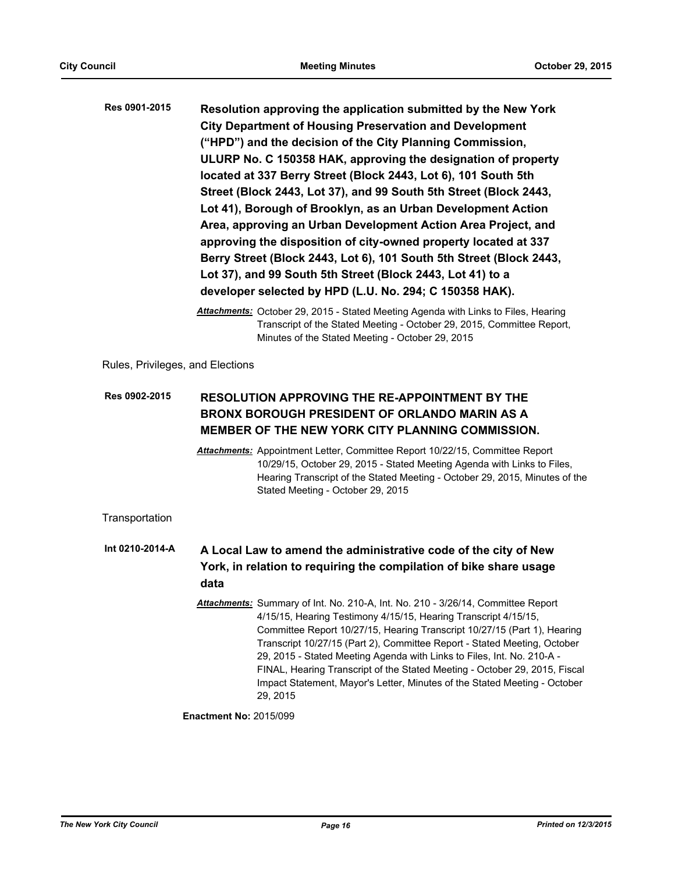| Res 0901-2015 | Resolution approving the application submitted by the New York      |
|---------------|---------------------------------------------------------------------|
|               | <b>City Department of Housing Preservation and Development</b>      |
|               | ("HPD") and the decision of the City Planning Commission,           |
|               | ULURP No. C 150358 HAK, approving the designation of property       |
|               | located at 337 Berry Street (Block 2443, Lot 6), 101 South 5th      |
|               | Street (Block 2443, Lot 37), and 99 South 5th Street (Block 2443,   |
|               | Lot 41), Borough of Brooklyn, as an Urban Development Action        |
|               | Area, approving an Urban Development Action Area Project, and       |
|               | approving the disposition of city-owned property located at 337     |
|               | Berry Street (Block 2443, Lot 6), 101 South 5th Street (Block 2443, |
|               | Lot 37), and 99 South 5th Street (Block 2443, Lot 41) to a          |
|               | developer selected by HPD (L.U. No. 294; C 150358 HAK).             |

*Attachments:* October 29, 2015 - Stated Meeting Agenda with Links to Files, Hearing Transcript of the Stated Meeting - October 29, 2015, Committee Report, Minutes of the Stated Meeting - October 29, 2015

Rules, Privileges, and Elections

## **RESOLUTION APPROVING THE RE-APPOINTMENT BY THE BRONX BOROUGH PRESIDENT OF ORLANDO MARIN AS A MEMBER OF THE NEW YORK CITY PLANNING COMMISSION. Res 0902-2015**

*Attachments:* Appointment Letter, Committee Report 10/22/15, Committee Report 10/29/15, October 29, 2015 - Stated Meeting Agenda with Links to Files, Hearing Transcript of the Stated Meeting - October 29, 2015, Minutes of the Stated Meeting - October 29, 2015

**Transportation** 

#### **A Local Law to amend the administrative code of the city of New York, in relation to requiring the compilation of bike share usage data Int 0210-2014-A**

*Attachments:* Summary of Int. No. 210-A, Int. No. 210 - 3/26/14, Committee Report 4/15/15, Hearing Testimony 4/15/15, Hearing Transcript 4/15/15, Committee Report 10/27/15, Hearing Transcript 10/27/15 (Part 1), Hearing Transcript 10/27/15 (Part 2), Committee Report - Stated Meeting, October 29, 2015 - Stated Meeting Agenda with Links to Files, Int. No. 210-A - FINAL, Hearing Transcript of the Stated Meeting - October 29, 2015, Fiscal Impact Statement, Mayor's Letter, Minutes of the Stated Meeting - October 29, 2015

**Enactment No:** 2015/099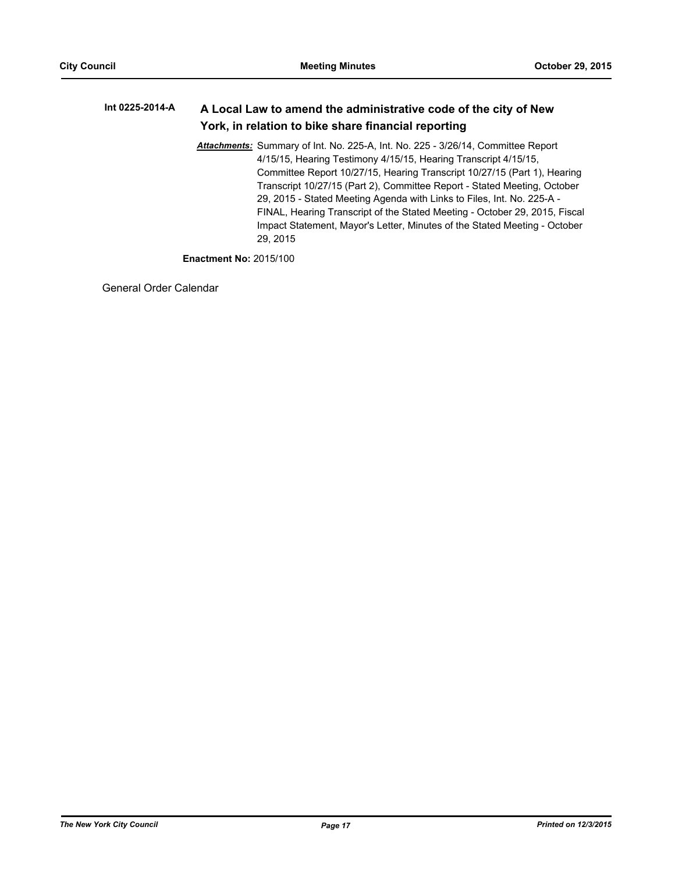#### **A Local Law to amend the administrative code of the city of New York, in relation to bike share financial reporting Int 0225-2014-A**

*Attachments:* Summary of Int. No. 225-A, Int. No. 225 - 3/26/14, Committee Report 4/15/15, Hearing Testimony 4/15/15, Hearing Transcript 4/15/15, Committee Report 10/27/15, Hearing Transcript 10/27/15 (Part 1), Hearing Transcript 10/27/15 (Part 2), Committee Report - Stated Meeting, October 29, 2015 - Stated Meeting Agenda with Links to Files, Int. No. 225-A - FINAL, Hearing Transcript of the Stated Meeting - October 29, 2015, Fiscal Impact Statement, Mayor's Letter, Minutes of the Stated Meeting - October 29, 2015

**Enactment No:** 2015/100

General Order Calendar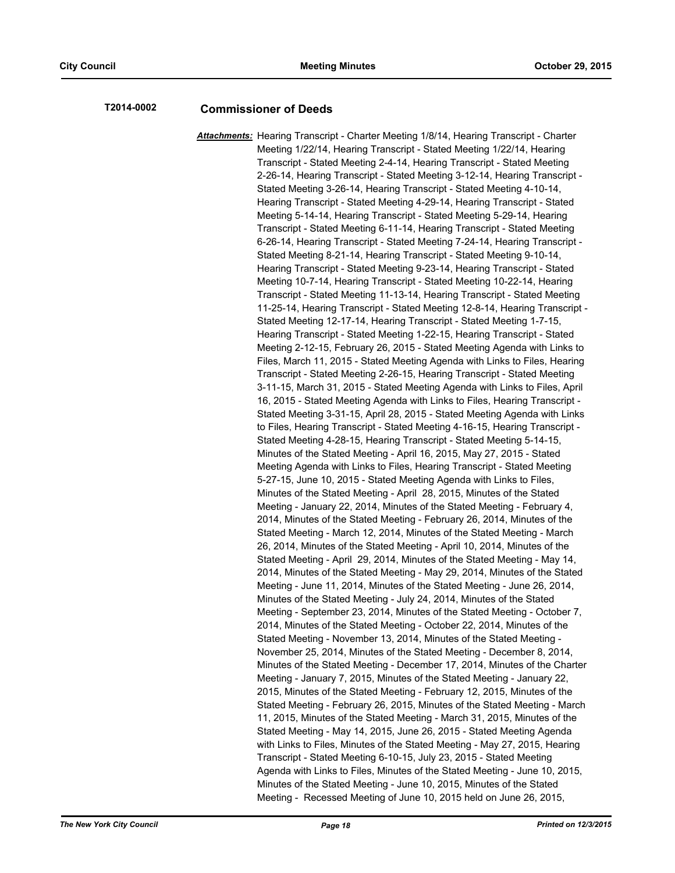# **T2014-0002 Commissioner of Deeds**

*Attachments:* Hearing Transcript - Charter Meeting 1/8/14, Hearing Transcript - Charter Meeting 1/22/14, Hearing Transcript - Stated Meeting 1/22/14, Hearing Transcript - Stated Meeting 2-4-14, Hearing Transcript - Stated Meeting 2-26-14, Hearing Transcript - Stated Meeting 3-12-14, Hearing Transcript - Stated Meeting 3-26-14, Hearing Transcript - Stated Meeting 4-10-14, Hearing Transcript - Stated Meeting 4-29-14, Hearing Transcript - Stated Meeting 5-14-14, Hearing Transcript - Stated Meeting 5-29-14, Hearing Transcript - Stated Meeting 6-11-14, Hearing Transcript - Stated Meeting 6-26-14, Hearing Transcript - Stated Meeting 7-24-14, Hearing Transcript - Stated Meeting 8-21-14, Hearing Transcript - Stated Meeting 9-10-14, Hearing Transcript - Stated Meeting 9-23-14, Hearing Transcript - Stated Meeting 10-7-14, Hearing Transcript - Stated Meeting 10-22-14, Hearing Transcript - Stated Meeting 11-13-14, Hearing Transcript - Stated Meeting 11-25-14, Hearing Transcript - Stated Meeting 12-8-14, Hearing Transcript - Stated Meeting 12-17-14, Hearing Transcript - Stated Meeting 1-7-15, Hearing Transcript - Stated Meeting 1-22-15, Hearing Transcript - Stated Meeting 2-12-15, February 26, 2015 - Stated Meeting Agenda with Links to Files, March 11, 2015 - Stated Meeting Agenda with Links to Files, Hearing Transcript - Stated Meeting 2-26-15, Hearing Transcript - Stated Meeting 3-11-15, March 31, 2015 - Stated Meeting Agenda with Links to Files, April 16, 2015 - Stated Meeting Agenda with Links to Files, Hearing Transcript - Stated Meeting 3-31-15, April 28, 2015 - Stated Meeting Agenda with Links to Files, Hearing Transcript - Stated Meeting 4-16-15, Hearing Transcript - Stated Meeting 4-28-15, Hearing Transcript - Stated Meeting 5-14-15, Minutes of the Stated Meeting - April 16, 2015, May 27, 2015 - Stated Meeting Agenda with Links to Files, Hearing Transcript - Stated Meeting 5-27-15, June 10, 2015 - Stated Meeting Agenda with Links to Files, Minutes of the Stated Meeting - April 28, 2015, Minutes of the Stated Meeting - January 22, 2014, Minutes of the Stated Meeting - February 4, 2014, Minutes of the Stated Meeting - February 26, 2014, Minutes of the Stated Meeting - March 12, 2014, Minutes of the Stated Meeting - March 26, 2014, Minutes of the Stated Meeting - April 10, 2014, Minutes of the Stated Meeting - April 29, 2014, Minutes of the Stated Meeting - May 14, 2014, Minutes of the Stated Meeting - May 29, 2014, Minutes of the Stated Meeting - June 11, 2014, Minutes of the Stated Meeting - June 26, 2014, Minutes of the Stated Meeting - July 24, 2014, Minutes of the Stated Meeting - September 23, 2014, Minutes of the Stated Meeting - October 7, 2014, Minutes of the Stated Meeting - October 22, 2014, Minutes of the Stated Meeting - November 13, 2014, Minutes of the Stated Meeting - November 25, 2014, Minutes of the Stated Meeting - December 8, 2014, Minutes of the Stated Meeting - December 17, 2014, Minutes of the Charter Meeting - January 7, 2015, Minutes of the Stated Meeting - January 22, 2015, Minutes of the Stated Meeting - February 12, 2015, Minutes of the Stated Meeting - February 26, 2015, Minutes of the Stated Meeting - March 11, 2015, Minutes of the Stated Meeting - March 31, 2015, Minutes of the Stated Meeting - May 14, 2015, June 26, 2015 - Stated Meeting Agenda with Links to Files, Minutes of the Stated Meeting - May 27, 2015, Hearing Transcript - Stated Meeting 6-10-15, July 23, 2015 - Stated Meeting Agenda with Links to Files, Minutes of the Stated Meeting - June 10, 2015, Minutes of the Stated Meeting - June 10, 2015, Minutes of the Stated Meeting - Recessed Meeting of June 10, 2015 held on June 26, 2015,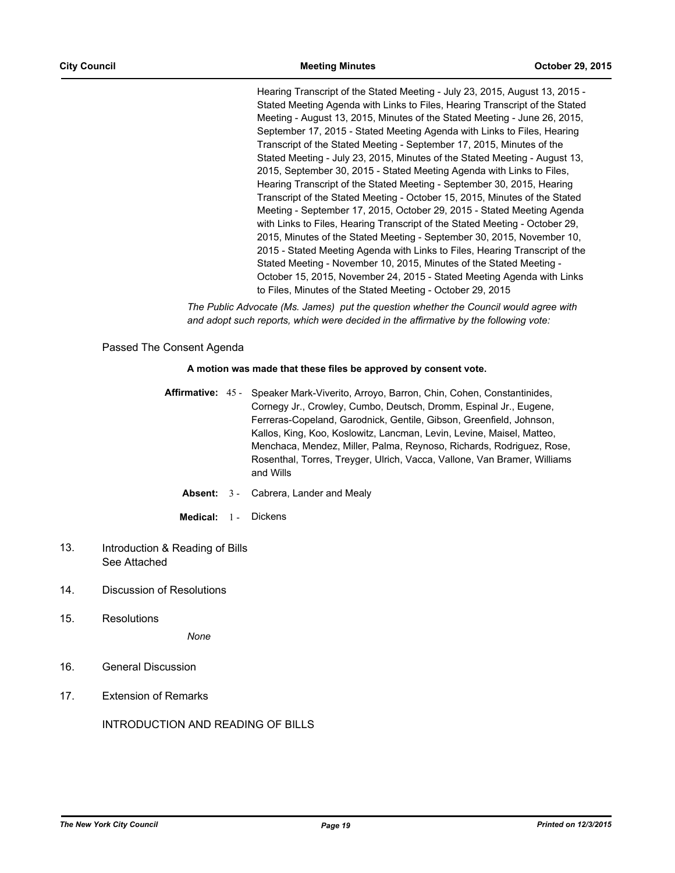Hearing Transcript of the Stated Meeting - July 23, 2015, August 13, 2015 - Stated Meeting Agenda with Links to Files, Hearing Transcript of the Stated Meeting - August 13, 2015, Minutes of the Stated Meeting - June 26, 2015, September 17, 2015 - Stated Meeting Agenda with Links to Files, Hearing Transcript of the Stated Meeting - September 17, 2015, Minutes of the Stated Meeting - July 23, 2015, Minutes of the Stated Meeting - August 13, 2015, September 30, 2015 - Stated Meeting Agenda with Links to Files, Hearing Transcript of the Stated Meeting - September 30, 2015, Hearing Transcript of the Stated Meeting - October 15, 2015, Minutes of the Stated Meeting - September 17, 2015, October 29, 2015 - Stated Meeting Agenda with Links to Files, Hearing Transcript of the Stated Meeting - October 29, 2015, Minutes of the Stated Meeting - September 30, 2015, November 10, 2015 - Stated Meeting Agenda with Links to Files, Hearing Transcript of the Stated Meeting - November 10, 2015, Minutes of the Stated Meeting - October 15, 2015, November 24, 2015 - Stated Meeting Agenda with Links to Files, Minutes of the Stated Meeting - October 29, 2015

*The Public Advocate (Ms. James) put the question whether the Council would agree with and adopt such reports, which were decided in the affirmative by the following vote:*

Passed The Consent Agenda

## **A motion was made that these files be approved by consent vote.**

- Affirmative: 45 Speaker Mark-Viverito, Arroyo, Barron, Chin, Cohen, Constantinides, Cornegy Jr., Crowley, Cumbo, Deutsch, Dromm, Espinal Jr., Eugene, Ferreras-Copeland, Garodnick, Gentile, Gibson, Greenfield, Johnson, Kallos, King, Koo, Koslowitz, Lancman, Levin, Levine, Maisel, Matteo, Menchaca, Mendez, Miller, Palma, Reynoso, Richards, Rodriguez, Rose, Rosenthal, Torres, Treyger, Ulrich, Vacca, Vallone, Van Bramer, Williams and Wills
	- **Absent:** 3 Cabrera, Lander and Mealy
	- **Medical:** 1 Dickens
- Introduction & Reading of Bills See Attached 13.
- 14. Discussion of Resolutions
- 15. Resolutions

*None*

- 16. General Discussion
- 17. Extension of Remarks

INTRODUCTION AND READING OF BILLS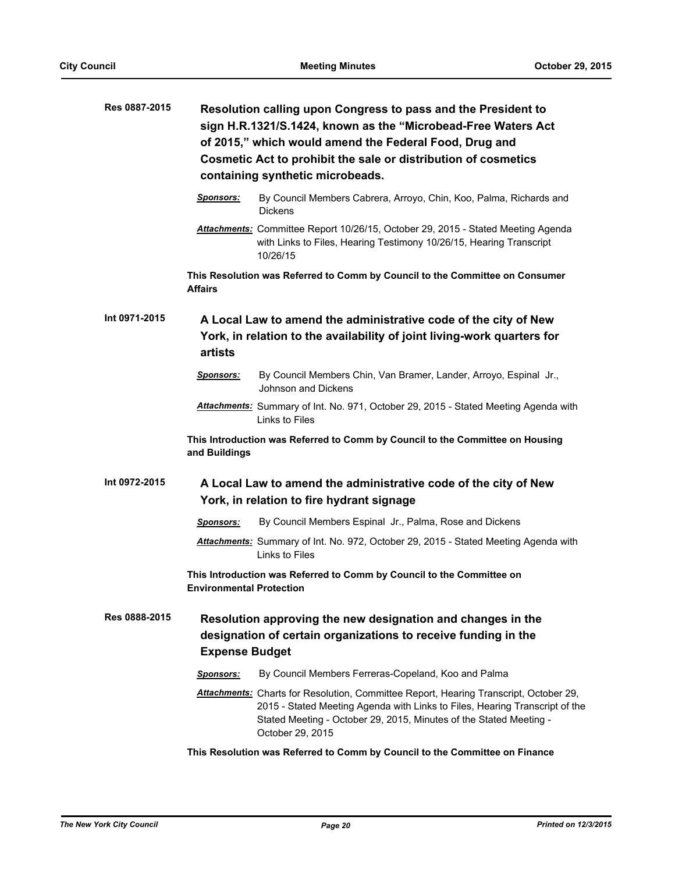| Res 0887-2015 |                                 | Resolution calling upon Congress to pass and the President to<br>sign H.R.1321/S.1424, known as the "Microbead-Free Waters Act<br>of 2015," which would amend the Federal Food, Drug and<br>Cosmetic Act to prohibit the sale or distribution of cosmetics<br>containing synthetic microbeads. |
|---------------|---------------------------------|------------------------------------------------------------------------------------------------------------------------------------------------------------------------------------------------------------------------------------------------------------------------------------------------|
|               | Sponsors:                       | By Council Members Cabrera, Arroyo, Chin, Koo, Palma, Richards and<br><b>Dickens</b>                                                                                                                                                                                                           |
|               |                                 | Attachments: Committee Report 10/26/15, October 29, 2015 - Stated Meeting Agenda<br>with Links to Files, Hearing Testimony 10/26/15, Hearing Transcript<br>10/26/15                                                                                                                            |
|               | <b>Affairs</b>                  | This Resolution was Referred to Comm by Council to the Committee on Consumer                                                                                                                                                                                                                   |
| Int 0971-2015 | artists                         | A Local Law to amend the administrative code of the city of New<br>York, in relation to the availability of joint living-work quarters for                                                                                                                                                     |
|               | <u>Sponsors:</u>                | By Council Members Chin, Van Bramer, Lander, Arroyo, Espinal Jr.,<br>Johnson and Dickens                                                                                                                                                                                                       |
|               |                                 | Attachments: Summary of Int. No. 971, October 29, 2015 - Stated Meeting Agenda with<br>Links to Files                                                                                                                                                                                          |
|               | and Buildings                   | This Introduction was Referred to Comm by Council to the Committee on Housing                                                                                                                                                                                                                  |
| Int 0972-2015 |                                 | A Local Law to amend the administrative code of the city of New<br>York, in relation to fire hydrant signage                                                                                                                                                                                   |
|               | Sponsors:                       | By Council Members Espinal Jr., Palma, Rose and Dickens                                                                                                                                                                                                                                        |
|               |                                 | Attachments: Summary of Int. No. 972, October 29, 2015 - Stated Meeting Agenda with<br>Links to Files                                                                                                                                                                                          |
|               | <b>Environmental Protection</b> | This Introduction was Referred to Comm by Council to the Committee on                                                                                                                                                                                                                          |
| Res 0888-2015 | <b>Expense Budget</b>           | Resolution approving the new designation and changes in the<br>designation of certain organizations to receive funding in the                                                                                                                                                                  |
|               | Sponsors:                       | By Council Members Ferreras-Copeland, Koo and Palma                                                                                                                                                                                                                                            |
|               |                                 | Attachments: Charts for Resolution, Committee Report, Hearing Transcript, October 29,<br>2015 - Stated Meeting Agenda with Links to Files, Hearing Transcript of the<br>Stated Meeting - October 29, 2015, Minutes of the Stated Meeting -<br>October 29, 2015                                 |
|               |                                 | This Resolution was Referred to Comm by Council to the Committee on Finance                                                                                                                                                                                                                    |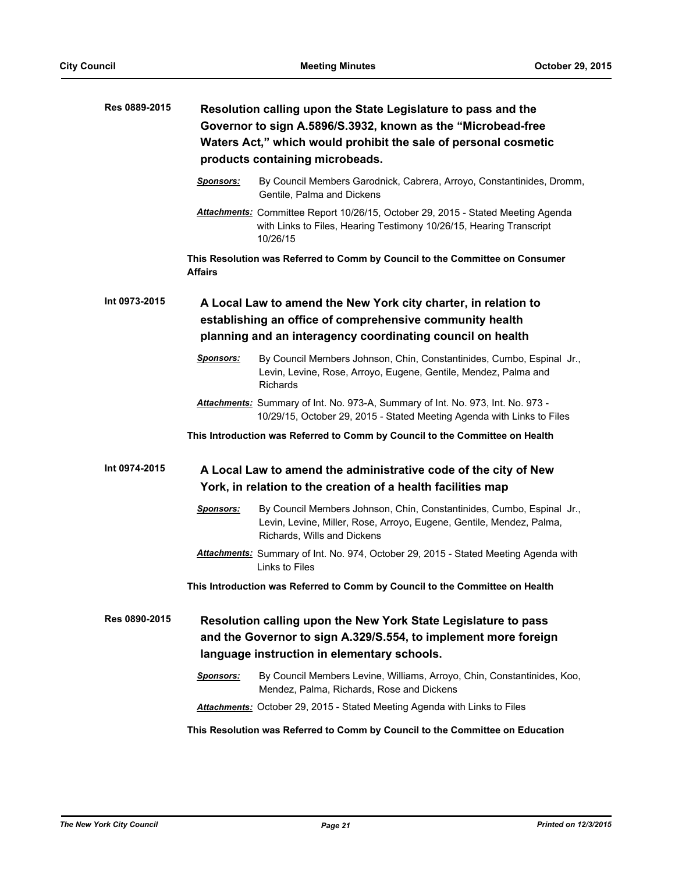| Res 0889-2015 |                  | Resolution calling upon the State Legislature to pass and the<br>Governor to sign A.5896/S.3932, known as the "Microbead-free<br>Waters Act," which would prohibit the sale of personal cosmetic<br>products containing microbeads. |
|---------------|------------------|-------------------------------------------------------------------------------------------------------------------------------------------------------------------------------------------------------------------------------------|
|               | <b>Sponsors:</b> | By Council Members Garodnick, Cabrera, Arroyo, Constantinides, Dromm,<br>Gentile, Palma and Dickens                                                                                                                                 |
|               |                  | Attachments: Committee Report 10/26/15, October 29, 2015 - Stated Meeting Agenda<br>with Links to Files, Hearing Testimony 10/26/15, Hearing Transcript<br>10/26/15                                                                 |
|               | <b>Affairs</b>   | This Resolution was Referred to Comm by Council to the Committee on Consumer                                                                                                                                                        |
| Int 0973-2015 |                  | A Local Law to amend the New York city charter, in relation to<br>establishing an office of comprehensive community health<br>planning and an interagency coordinating council on health                                            |
|               | <u>Sponsors:</u> | By Council Members Johnson, Chin, Constantinides, Cumbo, Espinal Jr.,<br>Levin, Levine, Rose, Arroyo, Eugene, Gentile, Mendez, Palma and<br>Richards                                                                                |
|               |                  | Attachments: Summary of Int. No. 973-A, Summary of Int. No. 973, Int. No. 973 -<br>10/29/15, October 29, 2015 - Stated Meeting Agenda with Links to Files                                                                           |
|               |                  | This Introduction was Referred to Comm by Council to the Committee on Health                                                                                                                                                        |
| Int 0974-2015 |                  | A Local Law to amend the administrative code of the city of New<br>York, in relation to the creation of a health facilities map                                                                                                     |
|               | Sponsors:        | By Council Members Johnson, Chin, Constantinides, Cumbo, Espinal Jr.,<br>Levin, Levine, Miller, Rose, Arroyo, Eugene, Gentile, Mendez, Palma,<br>Richards, Wills and Dickens                                                        |
|               |                  | Attachments: Summary of Int. No. 974, October 29, 2015 - Stated Meeting Agenda with<br>Links to Files                                                                                                                               |
|               |                  | This Introduction was Referred to Comm by Council to the Committee on Health                                                                                                                                                        |
| Res 0890-2015 |                  | Resolution calling upon the New York State Legislature to pass<br>and the Governor to sign A.329/S.554, to implement more foreign<br>language instruction in elementary schools.                                                    |
|               | <b>Sponsors:</b> | By Council Members Levine, Williams, Arroyo, Chin, Constantinides, Koo,<br>Mendez, Palma, Richards, Rose and Dickens                                                                                                                |
|               |                  | Attachments: October 29, 2015 - Stated Meeting Agenda with Links to Files                                                                                                                                                           |
|               |                  | This Resolution was Referred to Comm by Council to the Committee on Education                                                                                                                                                       |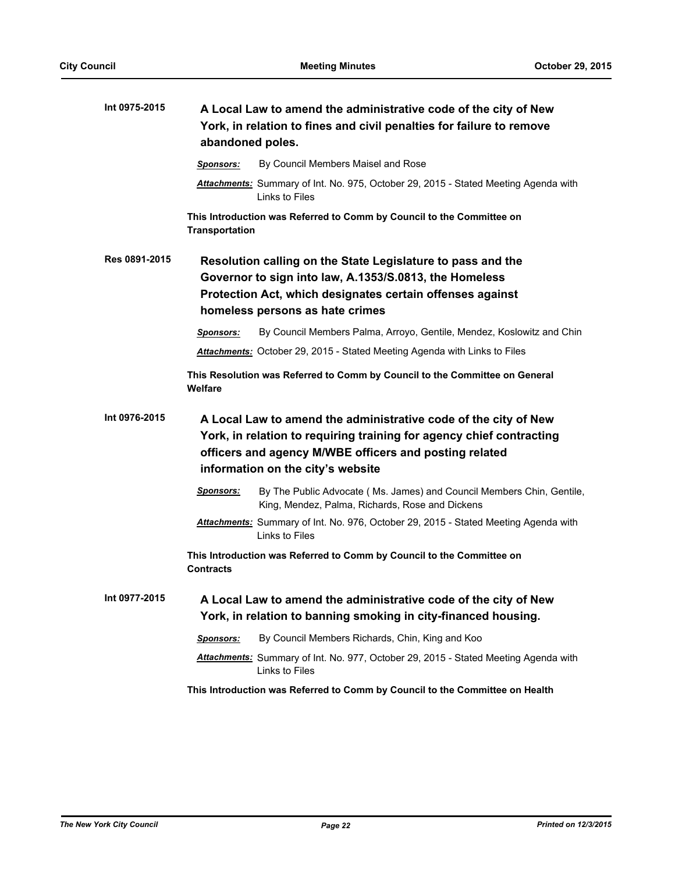| Int 0975-2015 | A Local Law to amend the administrative code of the city of New<br>York, in relation to fines and civil penalties for failure to remove<br>abandoned poles.                                                                            |  |
|---------------|----------------------------------------------------------------------------------------------------------------------------------------------------------------------------------------------------------------------------------------|--|
|               | By Council Members Maisel and Rose<br><b>Sponsors:</b>                                                                                                                                                                                 |  |
|               | Attachments: Summary of Int. No. 975, October 29, 2015 - Stated Meeting Agenda with<br>Links to Files                                                                                                                                  |  |
|               | This Introduction was Referred to Comm by Council to the Committee on<br><b>Transportation</b>                                                                                                                                         |  |
| Res 0891-2015 | Resolution calling on the State Legislature to pass and the<br>Governor to sign into law, A.1353/S.0813, the Homeless<br>Protection Act, which designates certain offenses against<br>homeless persons as hate crimes                  |  |
|               | By Council Members Palma, Arroyo, Gentile, Mendez, Koslowitz and Chin<br>Sponsors:                                                                                                                                                     |  |
|               | Attachments: October 29, 2015 - Stated Meeting Agenda with Links to Files                                                                                                                                                              |  |
|               | This Resolution was Referred to Comm by Council to the Committee on General<br>Welfare                                                                                                                                                 |  |
| Int 0976-2015 | A Local Law to amend the administrative code of the city of New<br>York, in relation to requiring training for agency chief contracting<br>officers and agency M/WBE officers and posting related<br>information on the city's website |  |
|               | <b>Sponsors:</b><br>By The Public Advocate (Ms. James) and Council Members Chin, Gentile,<br>King, Mendez, Palma, Richards, Rose and Dickens                                                                                           |  |
|               | Attachments: Summary of Int. No. 976, October 29, 2015 - Stated Meeting Agenda with<br>Links to Files                                                                                                                                  |  |
|               | This Introduction was Referred to Comm by Council to the Committee on<br><b>Contracts</b>                                                                                                                                              |  |
| Int 0977-2015 | A Local Law to amend the administrative code of the city of New<br>York, in relation to banning smoking in city-financed housing.                                                                                                      |  |
|               | By Council Members Richards, Chin, King and Koo                                                                                                                                                                                        |  |
|               | <b>Sponsors:</b>                                                                                                                                                                                                                       |  |
|               | <b>Attachments:</b> Summary of Int. No. 977, October 29, 2015 - Stated Meeting Agenda with<br>Links to Files                                                                                                                           |  |
|               | This Introduction was Referred to Comm by Council to the Committee on Health                                                                                                                                                           |  |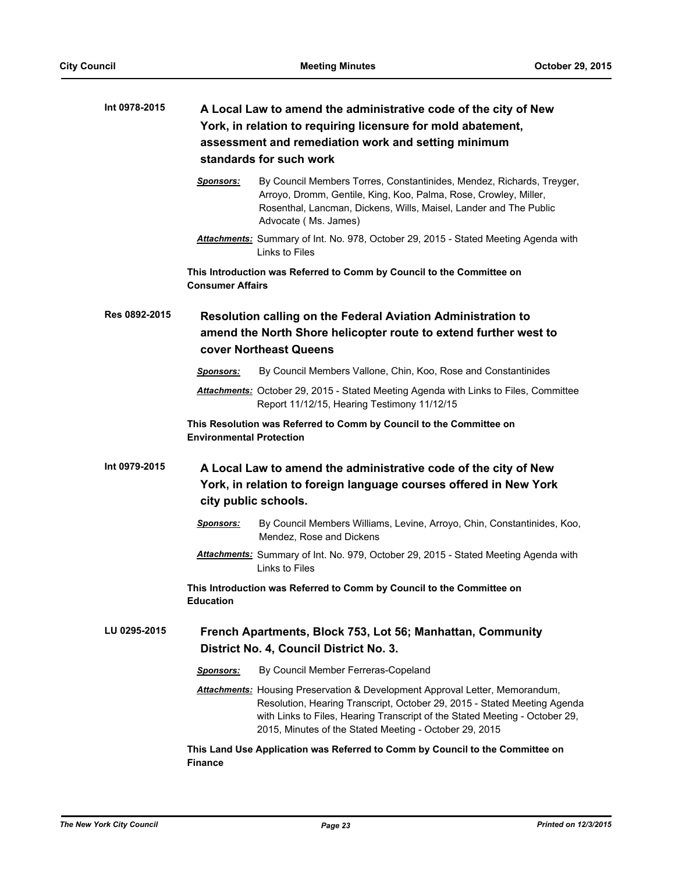| Int 0978-2015 | A Local Law to amend the administrative code of the city of New<br>York, in relation to requiring licensure for mold abatement,<br>assessment and remediation work and setting minimum<br>standards for such work                                                                                        |  |
|---------------|----------------------------------------------------------------------------------------------------------------------------------------------------------------------------------------------------------------------------------------------------------------------------------------------------------|--|
|               | By Council Members Torres, Constantinides, Mendez, Richards, Treyger,<br><b>Sponsors:</b><br>Arroyo, Dromm, Gentile, King, Koo, Palma, Rose, Crowley, Miller,<br>Rosenthal, Lancman, Dickens, Wills, Maisel, Lander and The Public<br>Advocate (Ms. James)                                               |  |
|               | Attachments: Summary of Int. No. 978, October 29, 2015 - Stated Meeting Agenda with<br>Links to Files                                                                                                                                                                                                    |  |
|               | This Introduction was Referred to Comm by Council to the Committee on<br><b>Consumer Affairs</b>                                                                                                                                                                                                         |  |
| Res 0892-2015 | <b>Resolution calling on the Federal Aviation Administration to</b><br>amend the North Shore helicopter route to extend further west to<br>cover Northeast Queens                                                                                                                                        |  |
|               | By Council Members Vallone, Chin, Koo, Rose and Constantinides<br><b>Sponsors:</b>                                                                                                                                                                                                                       |  |
|               | Attachments: October 29, 2015 - Stated Meeting Agenda with Links to Files, Committee<br>Report 11/12/15, Hearing Testimony 11/12/15                                                                                                                                                                      |  |
|               | This Resolution was Referred to Comm by Council to the Committee on<br><b>Environmental Protection</b>                                                                                                                                                                                                   |  |
| Int 0979-2015 | A Local Law to amend the administrative code of the city of New<br>York, in relation to foreign language courses offered in New York<br>city public schools.                                                                                                                                             |  |
|               | By Council Members Williams, Levine, Arroyo, Chin, Constantinides, Koo,<br><u>Sponsors:</u><br>Mendez, Rose and Dickens                                                                                                                                                                                  |  |
|               | Attachments: Summary of Int. No. 979, October 29, 2015 - Stated Meeting Agenda with<br>Links to Files                                                                                                                                                                                                    |  |
|               | This Introduction was Referred to Comm by Council to the Committee on<br><b>Education</b>                                                                                                                                                                                                                |  |
| LU 0295-2015  | French Apartments, Block 753, Lot 56; Manhattan, Community<br>District No. 4, Council District No. 3.                                                                                                                                                                                                    |  |
|               | By Council Member Ferreras-Copeland<br><u>Sponsors:</u>                                                                                                                                                                                                                                                  |  |
|               | <b>Attachments:</b> Housing Preservation & Development Approval Letter, Memorandum,<br>Resolution, Hearing Transcript, October 29, 2015 - Stated Meeting Agenda<br>with Links to Files, Hearing Transcript of the Stated Meeting - October 29,<br>2015, Minutes of the Stated Meeting - October 29, 2015 |  |
|               | This Land Use Application was Referred to Comm by Council to the Committee on<br><b>Finance</b>                                                                                                                                                                                                          |  |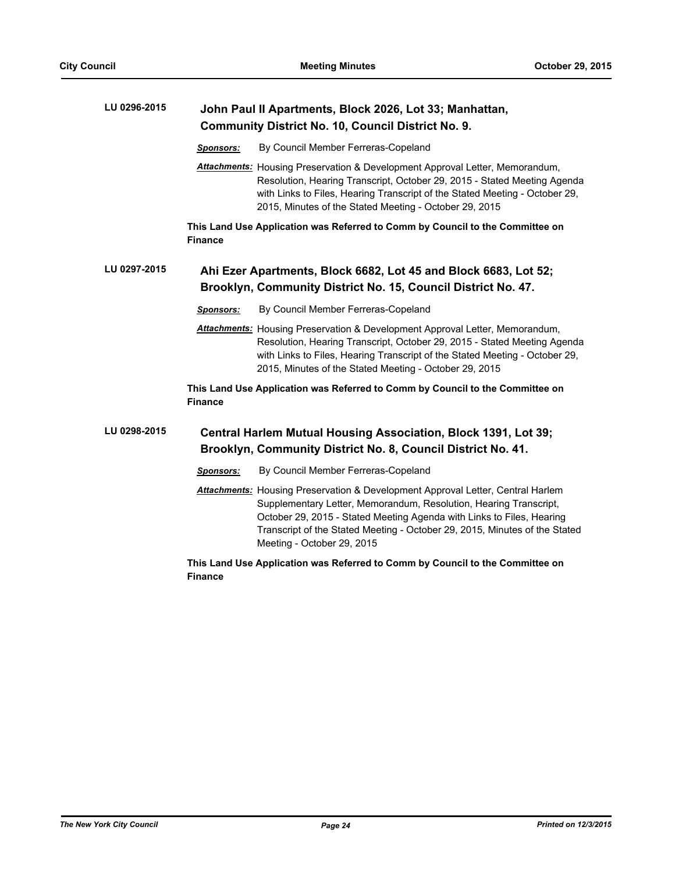| LU 0296-2015 | John Paul II Apartments, Block 2026, Lot 33; Manhattan,<br><b>Community District No. 10, Council District No. 9.</b>                                                                                                                                                                                                                      |
|--------------|-------------------------------------------------------------------------------------------------------------------------------------------------------------------------------------------------------------------------------------------------------------------------------------------------------------------------------------------|
|              | By Council Member Ferreras-Copeland<br><b>Sponsors:</b>                                                                                                                                                                                                                                                                                   |
|              | <b>Attachments:</b> Housing Preservation & Development Approval Letter, Memorandum,<br>Resolution, Hearing Transcript, October 29, 2015 - Stated Meeting Agenda<br>with Links to Files, Hearing Transcript of the Stated Meeting - October 29,<br>2015, Minutes of the Stated Meeting - October 29, 2015                                  |
|              | This Land Use Application was Referred to Comm by Council to the Committee on<br><b>Finance</b>                                                                                                                                                                                                                                           |
| LU 0297-2015 | Ahi Ezer Apartments, Block 6682, Lot 45 and Block 6683, Lot 52;<br>Brooklyn, Community District No. 15, Council District No. 47.                                                                                                                                                                                                          |
|              | By Council Member Ferreras-Copeland<br><b>Sponsors:</b>                                                                                                                                                                                                                                                                                   |
|              | Attachments: Housing Preservation & Development Approval Letter, Memorandum,<br>Resolution, Hearing Transcript, October 29, 2015 - Stated Meeting Agenda<br>with Links to Files, Hearing Transcript of the Stated Meeting - October 29,<br>2015, Minutes of the Stated Meeting - October 29, 2015                                         |
|              | This Land Use Application was Referred to Comm by Council to the Committee on<br><b>Finance</b>                                                                                                                                                                                                                                           |
| LU 0298-2015 | <b>Central Harlem Mutual Housing Association, Block 1391, Lot 39;</b><br>Brooklyn, Community District No. 8, Council District No. 41.                                                                                                                                                                                                     |
|              | By Council Member Ferreras-Copeland<br><b>Sponsors:</b>                                                                                                                                                                                                                                                                                   |
|              | Attachments: Housing Preservation & Development Approval Letter, Central Harlem<br>Supplementary Letter, Memorandum, Resolution, Hearing Transcript,<br>October 29, 2015 - Stated Meeting Agenda with Links to Files, Hearing<br>Transcript of the Stated Meeting - October 29, 2015, Minutes of the Stated<br>Meeting - October 29, 2015 |
|              | This Land Use Application was Referred to Comm by Council to the Committee on<br><b>Finance</b>                                                                                                                                                                                                                                           |